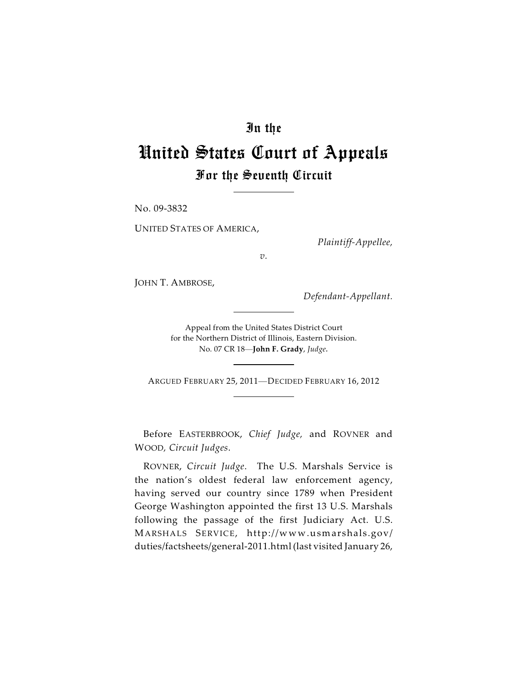# In the

# United States Court of Appeals For the Seventh Circuit

No. 09-3832

UNITED STATES OF AMERICA,

*Plaintiff-Appellee,*

*v.*

JOHN T. AMBROSE,

*Defendant-Appellant.*

Appeal from the United States District Court for the Northern District of Illinois, Eastern Division. No. 07 CR 18—**John F. Grady**, *Judge.*

ARGUED FEBRUARY 25, 2011—DECIDED FEBRUARY 16, 2012

Before EASTERBROOK, *Chief Judge,* and ROVNER and WOOD*, Circuit Judges*.

ROVNER, *Circuit Judge*. The U.S. Marshals Service is the nation's oldest federal law enforcement agency, having served our country since 1789 when President George Washington appointed the first 13 U.S. Marshals following the passage of the first Judiciary Act. U.S. MARSHALS SERVICE, http://www.usmarshals.gov/ duties/factsheets/general-2011.html (last visited January 26,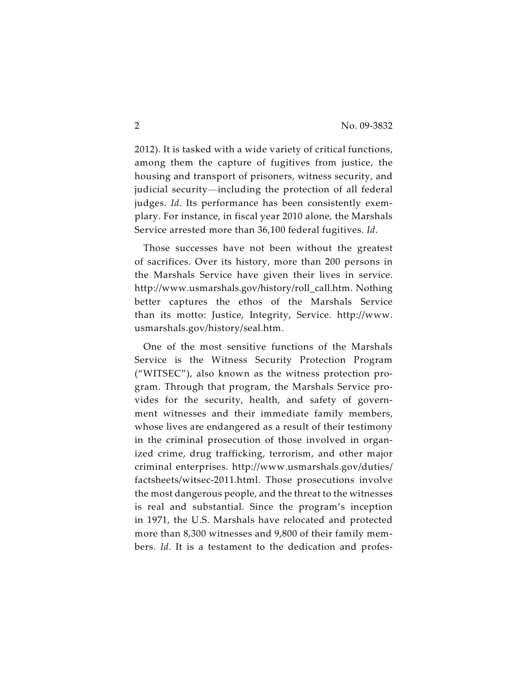2012). It is tasked with a wide variety of critical functions, among them the capture of fugitives from justice, the housing and transport of prisoners, witness security, and judicial security—including the protection of all federal judges. *Id*. Its performance has been consistently exemplary. For instance, in fiscal year 2010 alone, the Marshals Service arrested more than 36,100 federal fugitives. *Id*.

Those successes have not been without the greatest of sacrifices. Over its history, more than 200 persons in the Marshals Service have given their lives in service. http://www.usmarshals.gov/history/roll\_call.htm. Nothing better captures the ethos of the Marshals Service than its motto: Justice, Integrity, Service. http://www. usmarshals.gov/history/seal.htm.

One of the most sensitive functions of the Marshals Service is the Witness Security Protection Program ("WITSEC"), also known as the witness protection program. Through that program, the Marshals Service provides for the security, health, and safety of government witnesses and their immediate family members, whose lives are endangered as a result of their testimony in the criminal prosecution of those involved in organized crime, drug trafficking, terrorism, and other major criminal enterprises. http://www.usmarshals.gov/duties/ factsheets/witsec-2011.html. Those prosecutions involve the most dangerous people, and the threat to the witnesses is real and substantial. Since the program's inception in 1971, the U.S. Marshals have relocated and protected more than 8,300 witnesses and 9,800 of their family members. *Id*. It is a testament to the dedication and profes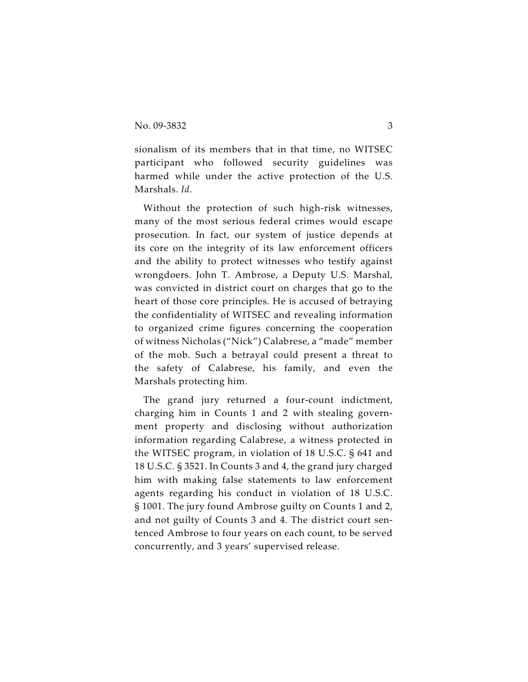sionalism of its members that in that time, no WITSEC participant who followed security guidelines was harmed while under the active protection of the U.S. Marshals. *Id*.

Without the protection of such high-risk witnesses, many of the most serious federal crimes would escape prosecution. In fact, our system of justice depends at its core on the integrity of its law enforcement officers and the ability to protect witnesses who testify against wrongdoers. John T. Ambrose, a Deputy U.S. Marshal, was convicted in district court on charges that go to the heart of those core principles. He is accused of betraying the confidentiality of WITSEC and revealing information to organized crime figures concerning the cooperation of witness Nicholas ("Nick") Calabrese, a "made" member of the mob. Such a betrayal could present a threat to the safety of Calabrese, his family, and even the Marshals protecting him.

The grand jury returned a four-count indictment, charging him in Counts 1 and 2 with stealing government property and disclosing without authorization information regarding Calabrese, a witness protected in the WITSEC program, in violation of 18 U.S.C. § 641 and 18 U.S.C. § 3521. In Counts 3 and 4, the grand jury charged him with making false statements to law enforcement agents regarding his conduct in violation of 18 U.S.C. § 1001. The jury found Ambrose guilty on Counts 1 and 2, and not guilty of Counts 3 and 4. The district court sentenced Ambrose to four years on each count, to be served concurrently, and 3 years' supervised release.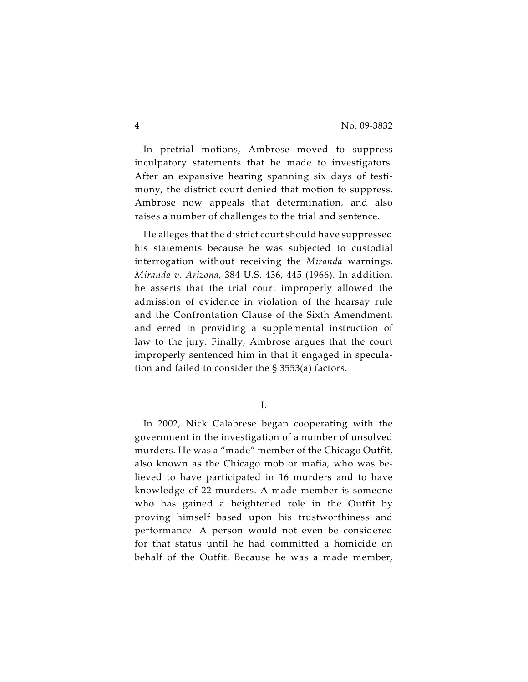In pretrial motions, Ambrose moved to suppress inculpatory statements that he made to investigators. After an expansive hearing spanning six days of testimony, the district court denied that motion to suppress. Ambrose now appeals that determination, and also raises a number of challenges to the trial and sentence.

He alleges that the district court should have suppressed his statements because he was subjected to custodial interrogation without receiving the *Miranda* warnings. *Miranda v. Arizona*, 384 U.S. 436, 445 (1966). In addition, he asserts that the trial court improperly allowed the admission of evidence in violation of the hearsay rule and the Confrontation Clause of the Sixth Amendment, and erred in providing a supplemental instruction of law to the jury. Finally, Ambrose argues that the court improperly sentenced him in that it engaged in speculation and failed to consider the § 3553(a) factors.

I.

In 2002, Nick Calabrese began cooperating with the government in the investigation of a number of unsolved murders. He was a "made" member of the Chicago Outfit, also known as the Chicago mob or mafia, who was believed to have participated in 16 murders and to have knowledge of 22 murders. A made member is someone who has gained a heightened role in the Outfit by proving himself based upon his trustworthiness and performance. A person would not even be considered for that status until he had committed a homicide on behalf of the Outfit. Because he was a made member,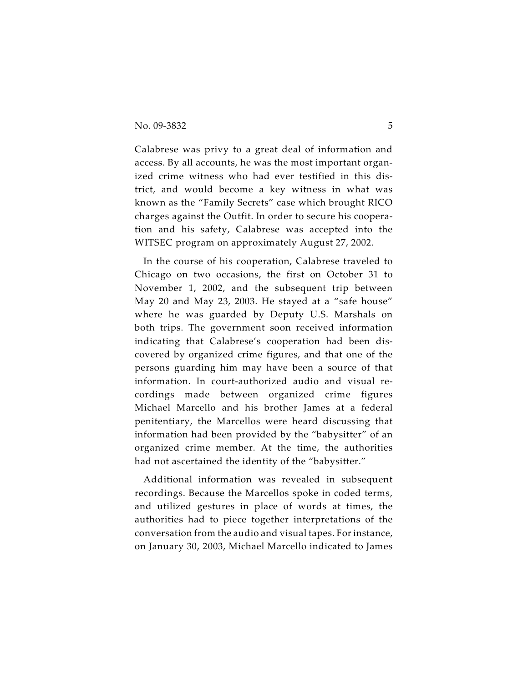Calabrese was privy to a great deal of information and access. By all accounts, he was the most important organized crime witness who had ever testified in this district, and would become a key witness in what was known as the "Family Secrets" case which brought RICO charges against the Outfit. In order to secure his cooperation and his safety, Calabrese was accepted into the WITSEC program on approximately August 27, 2002.

In the course of his cooperation, Calabrese traveled to Chicago on two occasions, the first on October 31 to November 1, 2002, and the subsequent trip between May 20 and May 23, 2003. He stayed at a "safe house" where he was guarded by Deputy U.S. Marshals on both trips. The government soon received information indicating that Calabrese's cooperation had been discovered by organized crime figures, and that one of the persons guarding him may have been a source of that information. In court-authorized audio and visual recordings made between organized crime figures Michael Marcello and his brother James at a federal penitentiary, the Marcellos were heard discussing that information had been provided by the "babysitter" of an organized crime member. At the time, the authorities had not ascertained the identity of the "babysitter."

Additional information was revealed in subsequent recordings. Because the Marcellos spoke in coded terms, and utilized gestures in place of words at times, the authorities had to piece together interpretations of the conversation from the audio and visual tapes. For instance, on January 30, 2003, Michael Marcello indicated to James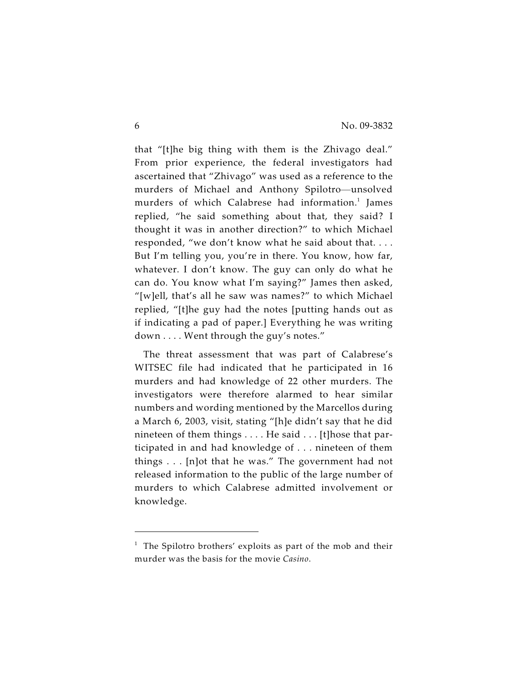that "[t]he big thing with them is the Zhivago deal." From prior experience, the federal investigators had ascertained that "Zhivago" was used as a reference to the murders of Michael and Anthony Spilotro—unsolved murders of which Calabrese had information.<sup>1</sup> James replied, "he said something about that, they said? I thought it was in another direction?" to which Michael responded, "we don't know what he said about that. . . . But I'm telling you, you're in there. You know, how far, whatever. I don't know. The guy can only do what he can do. You know what I'm saying?" James then asked, "[w]ell, that's all he saw was names?" to which Michael replied, "[t]he guy had the notes [putting hands out as if indicating a pad of paper.] Everything he was writing down . . . . Went through the guy's notes."

The threat assessment that was part of Calabrese's WITSEC file had indicated that he participated in 16 murders and had knowledge of 22 other murders. The investigators were therefore alarmed to hear similar numbers and wording mentioned by the Marcellos during a March 6, 2003, visit, stating "[h]e didn't say that he did nineteen of them things . . . . He said . . . [t]hose that participated in and had knowledge of . . . nineteen of them things . . . [n]ot that he was." The government had not released information to the public of the large number of murders to which Calabrese admitted involvement or knowledge.

 $1$  The Spilotro brothers' exploits as part of the mob and their murder was the basis for the movie *Casino*.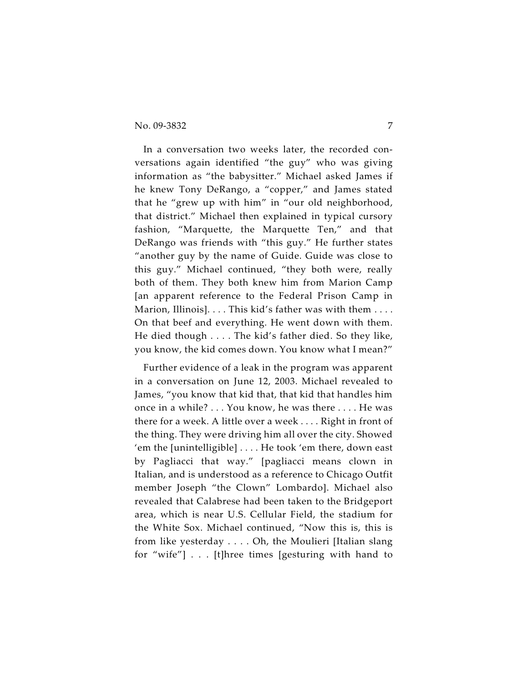In a conversation two weeks later, the recorded conversations again identified "the guy" who was giving information as "the babysitter." Michael asked James if he knew Tony DeRango, a "copper," and James stated that he "grew up with him" in "our old neighborhood, that district." Michael then explained in typical cursory fashion, "Marquette, the Marquette Ten," and that DeRango was friends with "this guy." He further states "another guy by the name of Guide. Guide was close to this guy." Michael continued, "they both were, really both of them. They both knew him from Marion Camp [an apparent reference to the Federal Prison Camp in Marion, Illinois]. . . . This kid's father was with them . . . . On that beef and everything. He went down with them. He died though . . . . The kid's father died. So they like, you know, the kid comes down. You know what I mean?"

Further evidence of a leak in the program was apparent in a conversation on June 12, 2003. Michael revealed to James, "you know that kid that, that kid that handles him once in a while? . . . You know, he was there . . . . He was there for a week. A little over a week . . . . Right in front of the thing. They were driving him all over the city. Showed 'em the [unintelligible] . . . . He took 'em there, down east by Pagliacci that way." [pagliacci means clown in Italian, and is understood as a reference to Chicago Outfit member Joseph "the Clown" Lombardo]. Michael also revealed that Calabrese had been taken to the Bridgeport area, which is near U.S. Cellular Field, the stadium for the White Sox. Michael continued, "Now this is, this is from like yesterday . . . . Oh, the Moulieri [Italian slang for "wife"] . . . [t]hree times [gesturing with hand to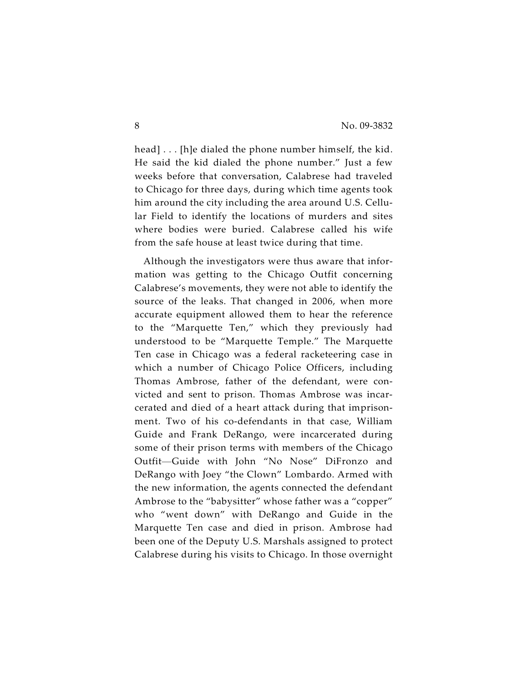head] . . . [h]e dialed the phone number himself, the kid. He said the kid dialed the phone number." Just a few weeks before that conversation, Calabrese had traveled to Chicago for three days, during which time agents took him around the city including the area around U.S. Cellular Field to identify the locations of murders and sites where bodies were buried. Calabrese called his wife from the safe house at least twice during that time.

Although the investigators were thus aware that information was getting to the Chicago Outfit concerning Calabrese's movements, they were not able to identify the source of the leaks. That changed in 2006, when more accurate equipment allowed them to hear the reference to the "Marquette Ten," which they previously had understood to be "Marquette Temple." The Marquette Ten case in Chicago was a federal racketeering case in which a number of Chicago Police Officers, including Thomas Ambrose, father of the defendant, were convicted and sent to prison. Thomas Ambrose was incarcerated and died of a heart attack during that imprisonment. Two of his co-defendants in that case, William Guide and Frank DeRango, were incarcerated during some of their prison terms with members of the Chicago Outfit—Guide with John "No Nose" DiFronzo and DeRango with Joey "the Clown" Lombardo. Armed with the new information, the agents connected the defendant Ambrose to the "babysitter" whose father was a "copper" who "went down" with DeRango and Guide in the Marquette Ten case and died in prison. Ambrose had been one of the Deputy U.S. Marshals assigned to protect Calabrese during his visits to Chicago. In those overnight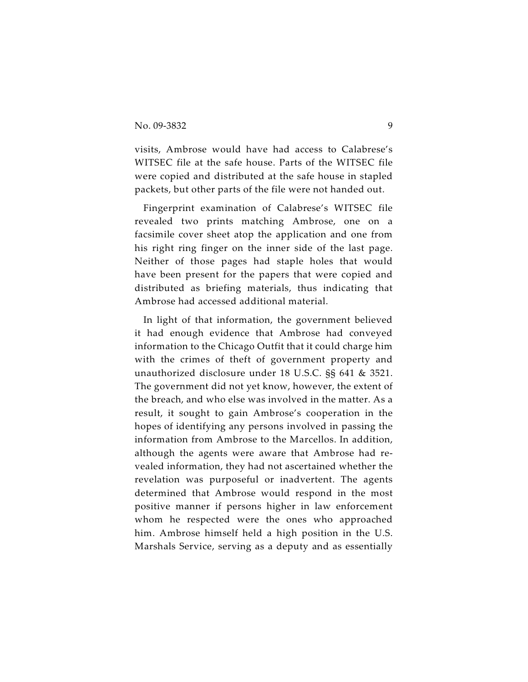visits, Ambrose would have had access to Calabrese's WITSEC file at the safe house. Parts of the WITSEC file were copied and distributed at the safe house in stapled packets, but other parts of the file were not handed out.

Fingerprint examination of Calabrese's WITSEC file revealed two prints matching Ambrose, one on a facsimile cover sheet atop the application and one from his right ring finger on the inner side of the last page. Neither of those pages had staple holes that would have been present for the papers that were copied and distributed as briefing materials, thus indicating that Ambrose had accessed additional material.

In light of that information, the government believed it had enough evidence that Ambrose had conveyed information to the Chicago Outfit that it could charge him with the crimes of theft of government property and unauthorized disclosure under 18 U.S.C. §§ 641 & 3521. The government did not yet know, however, the extent of the breach, and who else was involved in the matter. As a result, it sought to gain Ambrose's cooperation in the hopes of identifying any persons involved in passing the information from Ambrose to the Marcellos. In addition, although the agents were aware that Ambrose had revealed information, they had not ascertained whether the revelation was purposeful or inadvertent. The agents determined that Ambrose would respond in the most positive manner if persons higher in law enforcement whom he respected were the ones who approached him. Ambrose himself held a high position in the U.S. Marshals Service, serving as a deputy and as essentially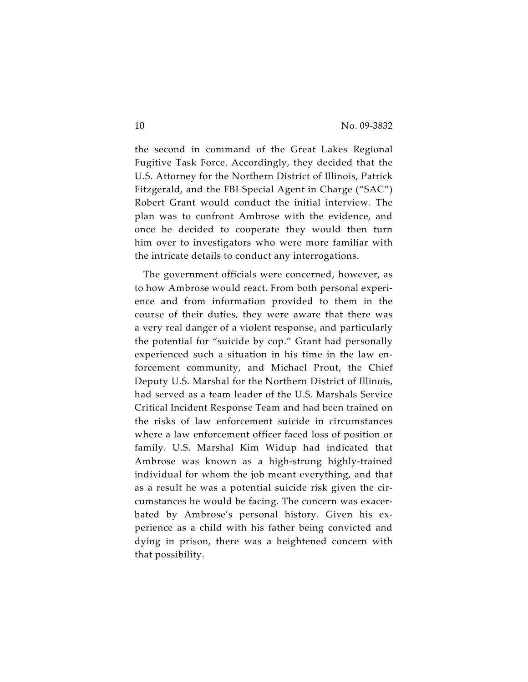the second in command of the Great Lakes Regional Fugitive Task Force. Accordingly, they decided that the U.S. Attorney for the Northern District of Illinois, Patrick Fitzgerald, and the FBI Special Agent in Charge ("SAC") Robert Grant would conduct the initial interview. The plan was to confront Ambrose with the evidence, and once he decided to cooperate they would then turn him over to investigators who were more familiar with the intricate details to conduct any interrogations.

The government officials were concerned, however, as to how Ambrose would react. From both personal experience and from information provided to them in the course of their duties, they were aware that there was a very real danger of a violent response, and particularly the potential for "suicide by cop." Grant had personally experienced such a situation in his time in the law enforcement community, and Michael Prout, the Chief Deputy U.S. Marshal for the Northern District of Illinois, had served as a team leader of the U.S. Marshals Service Critical Incident Response Team and had been trained on the risks of law enforcement suicide in circumstances where a law enforcement officer faced loss of position or family. U.S. Marshal Kim Widup had indicated that Ambrose was known as a high-strung highly-trained individual for whom the job meant everything, and that as a result he was a potential suicide risk given the circumstances he would be facing. The concern was exacerbated by Ambrose's personal history. Given his experience as a child with his father being convicted and dying in prison, there was a heightened concern with that possibility.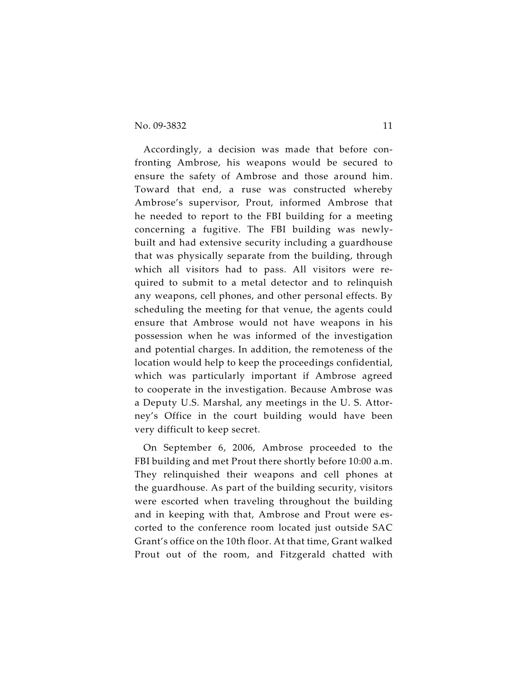Accordingly, a decision was made that before confronting Ambrose, his weapons would be secured to ensure the safety of Ambrose and those around him. Toward that end, a ruse was constructed whereby Ambrose's supervisor, Prout, informed Ambrose that he needed to report to the FBI building for a meeting concerning a fugitive. The FBI building was newlybuilt and had extensive security including a guardhouse that was physically separate from the building, through which all visitors had to pass. All visitors were required to submit to a metal detector and to relinquish any weapons, cell phones, and other personal effects. By scheduling the meeting for that venue, the agents could ensure that Ambrose would not have weapons in his possession when he was informed of the investigation and potential charges. In addition, the remoteness of the location would help to keep the proceedings confidential, which was particularly important if Ambrose agreed to cooperate in the investigation. Because Ambrose was a Deputy U.S. Marshal, any meetings in the U. S. Attorney's Office in the court building would have been very difficult to keep secret.

On September 6, 2006, Ambrose proceeded to the FBI building and met Prout there shortly before 10:00 a.m. They relinquished their weapons and cell phones at the guardhouse. As part of the building security, visitors were escorted when traveling throughout the building and in keeping with that, Ambrose and Prout were escorted to the conference room located just outside SAC Grant's office on the 10th floor. At that time, Grant walked Prout out of the room, and Fitzgerald chatted with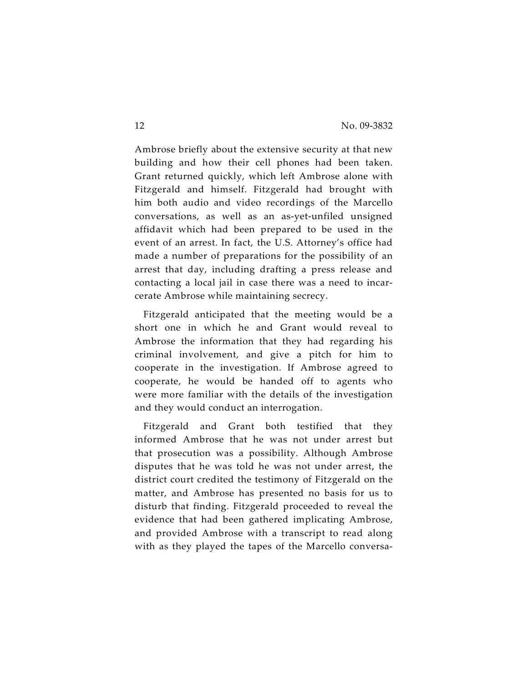Ambrose briefly about the extensive security at that new building and how their cell phones had been taken. Grant returned quickly, which left Ambrose alone with Fitzgerald and himself. Fitzgerald had brought with him both audio and video recordings of the Marcello conversations, as well as an as-yet-unfiled unsigned affidavit which had been prepared to be used in the event of an arrest. In fact, the U.S. Attorney's office had made a number of preparations for the possibility of an arrest that day, including drafting a press release and contacting a local jail in case there was a need to incarcerate Ambrose while maintaining secrecy.

Fitzgerald anticipated that the meeting would be a short one in which he and Grant would reveal to Ambrose the information that they had regarding his criminal involvement, and give a pitch for him to cooperate in the investigation. If Ambrose agreed to cooperate, he would be handed off to agents who were more familiar with the details of the investigation and they would conduct an interrogation.

Fitzgerald and Grant both testified that they informed Ambrose that he was not under arrest but that prosecution was a possibility. Although Ambrose disputes that he was told he was not under arrest, the district court credited the testimony of Fitzgerald on the matter, and Ambrose has presented no basis for us to disturb that finding. Fitzgerald proceeded to reveal the evidence that had been gathered implicating Ambrose, and provided Ambrose with a transcript to read along with as they played the tapes of the Marcello conversa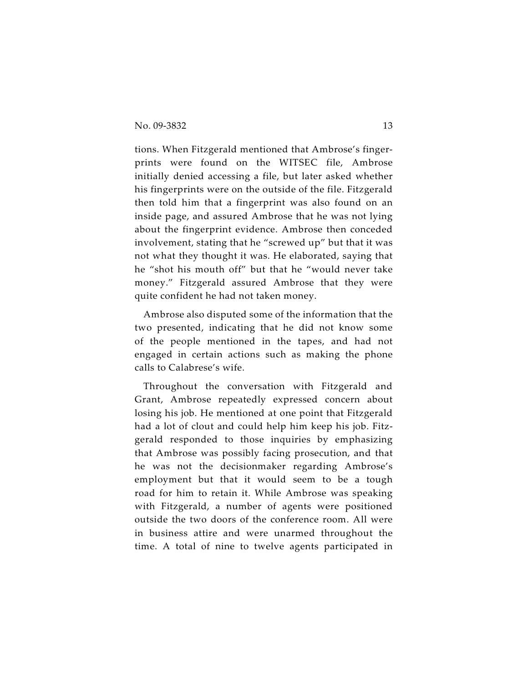tions. When Fitzgerald mentioned that Ambrose's fingerprints were found on the WITSEC file, Ambrose initially denied accessing a file, but later asked whether his fingerprints were on the outside of the file. Fitzgerald then told him that a fingerprint was also found on an inside page, and assured Ambrose that he was not lying about the fingerprint evidence. Ambrose then conceded involvement, stating that he "screwed up" but that it was not what they thought it was. He elaborated, saying that he "shot his mouth off" but that he "would never take money." Fitzgerald assured Ambrose that they were quite confident he had not taken money.

Ambrose also disputed some of the information that the two presented, indicating that he did not know some of the people mentioned in the tapes, and had not engaged in certain actions such as making the phone calls to Calabrese's wife.

Throughout the conversation with Fitzgerald and Grant, Ambrose repeatedly expressed concern about losing his job. He mentioned at one point that Fitzgerald had a lot of clout and could help him keep his job. Fitzgerald responded to those inquiries by emphasizing that Ambrose was possibly facing prosecution, and that he was not the decisionmaker regarding Ambrose's employment but that it would seem to be a tough road for him to retain it. While Ambrose was speaking with Fitzgerald, a number of agents were positioned outside the two doors of the conference room. All were in business attire and were unarmed throughout the time. A total of nine to twelve agents participated in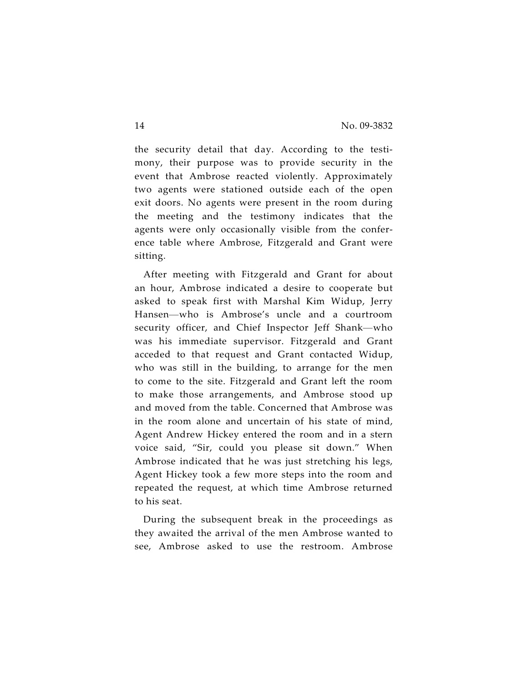the security detail that day. According to the testimony, their purpose was to provide security in the event that Ambrose reacted violently. Approximately two agents were stationed outside each of the open exit doors. No agents were present in the room during the meeting and the testimony indicates that the agents were only occasionally visible from the conference table where Ambrose, Fitzgerald and Grant were sitting.

After meeting with Fitzgerald and Grant for about an hour, Ambrose indicated a desire to cooperate but asked to speak first with Marshal Kim Widup, Jerry Hansen—who is Ambrose's uncle and a courtroom security officer, and Chief Inspector Jeff Shank—who was his immediate supervisor. Fitzgerald and Grant acceded to that request and Grant contacted Widup, who was still in the building, to arrange for the men to come to the site. Fitzgerald and Grant left the room to make those arrangements, and Ambrose stood up and moved from the table. Concerned that Ambrose was in the room alone and uncertain of his state of mind, Agent Andrew Hickey entered the room and in a stern voice said, "Sir, could you please sit down." When Ambrose indicated that he was just stretching his legs, Agent Hickey took a few more steps into the room and repeated the request, at which time Ambrose returned to his seat.

During the subsequent break in the proceedings as they awaited the arrival of the men Ambrose wanted to see, Ambrose asked to use the restroom. Ambrose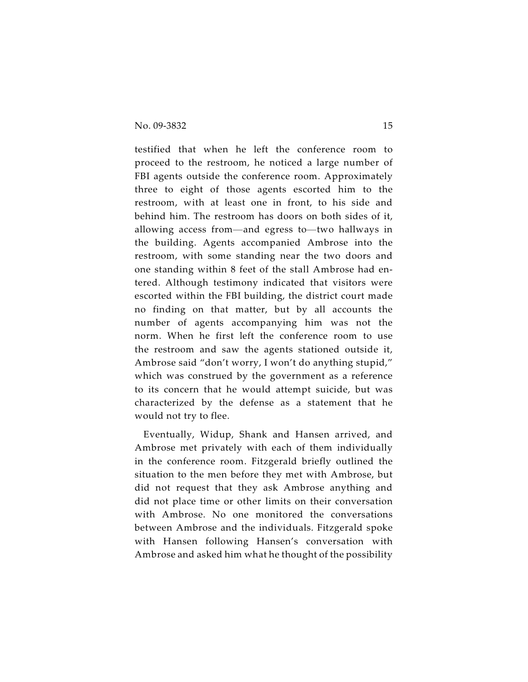testified that when he left the conference room to proceed to the restroom, he noticed a large number of FBI agents outside the conference room. Approximately three to eight of those agents escorted him to the restroom, with at least one in front, to his side and behind him. The restroom has doors on both sides of it, allowing access from—and egress to—two hallways in the building. Agents accompanied Ambrose into the restroom, with some standing near the two doors and one standing within 8 feet of the stall Ambrose had entered. Although testimony indicated that visitors were escorted within the FBI building, the district court made no finding on that matter, but by all accounts the number of agents accompanying him was not the norm. When he first left the conference room to use the restroom and saw the agents stationed outside it, Ambrose said "don't worry, I won't do anything stupid," which was construed by the government as a reference to its concern that he would attempt suicide, but was characterized by the defense as a statement that he would not try to flee.

Eventually, Widup, Shank and Hansen arrived, and Ambrose met privately with each of them individually in the conference room. Fitzgerald briefly outlined the situation to the men before they met with Ambrose, but did not request that they ask Ambrose anything and did not place time or other limits on their conversation with Ambrose. No one monitored the conversations between Ambrose and the individuals. Fitzgerald spoke with Hansen following Hansen's conversation with Ambrose and asked him what he thought of the possibility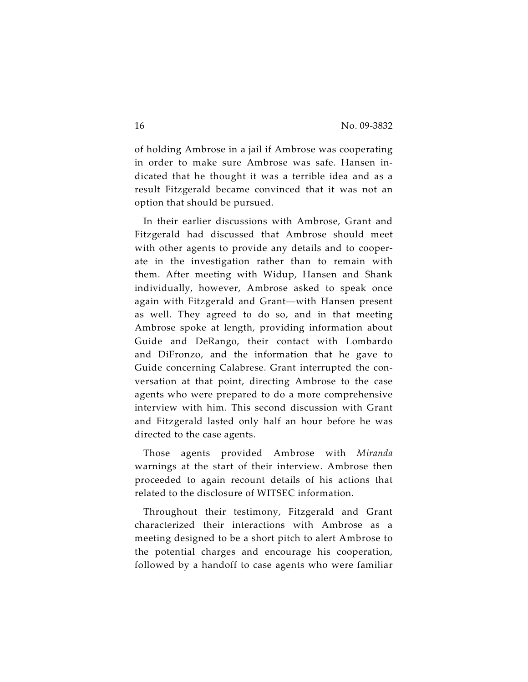of holding Ambrose in a jail if Ambrose was cooperating in order to make sure Ambrose was safe. Hansen indicated that he thought it was a terrible idea and as a result Fitzgerald became convinced that it was not an option that should be pursued.

In their earlier discussions with Ambrose, Grant and Fitzgerald had discussed that Ambrose should meet with other agents to provide any details and to cooperate in the investigation rather than to remain with them. After meeting with Widup, Hansen and Shank individually, however, Ambrose asked to speak once again with Fitzgerald and Grant—with Hansen present as well. They agreed to do so, and in that meeting Ambrose spoke at length, providing information about Guide and DeRango, their contact with Lombardo and DiFronzo, and the information that he gave to Guide concerning Calabrese. Grant interrupted the conversation at that point, directing Ambrose to the case agents who were prepared to do a more comprehensive interview with him. This second discussion with Grant and Fitzgerald lasted only half an hour before he was directed to the case agents.

Those agents provided Ambrose with *Miranda* warnings at the start of their interview. Ambrose then proceeded to again recount details of his actions that related to the disclosure of WITSEC information.

Throughout their testimony, Fitzgerald and Grant characterized their interactions with Ambrose as a meeting designed to be a short pitch to alert Ambrose to the potential charges and encourage his cooperation, followed by a handoff to case agents who were familiar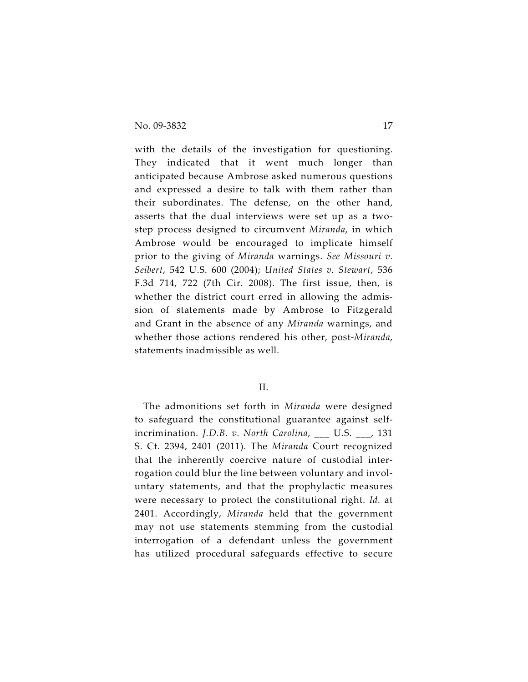with the details of the investigation for questioning. They indicated that it went much longer than anticipated because Ambrose asked numerous questions and expressed a desire to talk with them rather than their subordinates. The defense, on the other hand, asserts that the dual interviews were set up as a twostep process designed to circumvent *Miranda*, in which Ambrose would be encouraged to implicate himself prior to the giving of *Miranda* warnings. *See Missouri v. Seibert*, 542 U.S. 600 (2004); *United States v. Stewart*, 536 F.3d 714, 722 (7th Cir. 2008). The first issue, then, is whether the district court erred in allowing the admission of statements made by Ambrose to Fitzgerald and Grant in the absence of any *Miranda* warnings, and whether those actions rendered his other, post-*Miranda*, statements inadmissible as well.

#### II.

The admonitions set forth in *Miranda* were designed to safeguard the constitutional guarantee against selfincrimination. *J.D.B. v. North Carolina*, \_\_\_ U.S. \_\_\_, 131 S. Ct. 2394, 2401 (2011). The *Miranda* Court recognized that the inherently coercive nature of custodial interrogation could blur the line between voluntary and involuntary statements, and that the prophylactic measures were necessary to protect the constitutional right. *Id.* at 2401. Accordingly, *Miranda* held that the government may not use statements stemming from the custodial interrogation of a defendant unless the government has utilized procedural safeguards effective to secure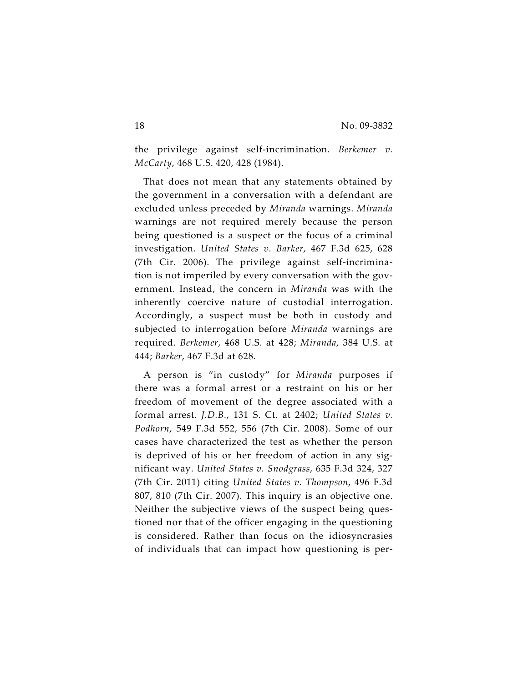the privilege against self-incrimination. *Berkemer v. McCarty*, 468 U.S. 420, 428 (1984).

That does not mean that any statements obtained by the government in a conversation with a defendant are excluded unless preceded by *Miranda* warnings. *Miranda* warnings are not required merely because the person being questioned is a suspect or the focus of a criminal investigation. *United States v. Barker*, 467 F.3d 625, 628 (7th Cir. 2006). The privilege against self-incrimination is not imperiled by every conversation with the government. Instead, the concern in *Miranda* was with the inherently coercive nature of custodial interrogation. Accordingly, a suspect must be both in custody and subjected to interrogation before *Miranda* warnings are required. *Berkemer*, 468 U.S. at 428; *Miranda*, 384 U.S. at 444; *Barker*, 467 F.3d at 628.

A person is "in custody" for *Miranda* purposes if there was a formal arrest or a restraint on his or her freedom of movement of the degree associated with a formal arrest. *J.D.B.*, 131 S. Ct. at 2402; *United States v. Podhorn*, 549 F.3d 552, 556 (7th Cir. 2008). Some of our cases have characterized the test as whether the person is deprived of his or her freedom of action in any significant way. *United States v. Snodgrass*, 635 F.3d 324, 327 (7th Cir. 2011) citing *United States v. Thompson*, 496 F.3d 807, 810 (7th Cir. 2007). This inquiry is an objective one. Neither the subjective views of the suspect being questioned nor that of the officer engaging in the questioning is considered. Rather than focus on the idiosyncrasies of individuals that can impact how questioning is per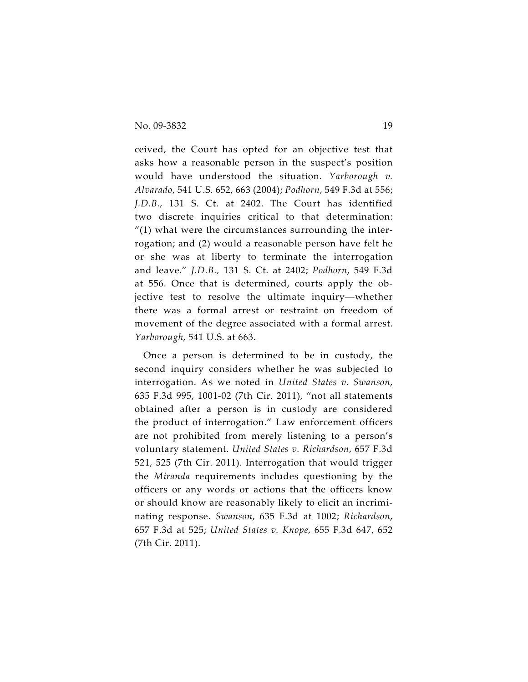ceived, the Court has opted for an objective test that asks how a reasonable person in the suspect's position would have understood the situation. *Yarborough v. Alvarado*, 541 U.S. 652, 663 (2004); *Podhorn*, 549 F.3d at 556; *J.D.B.*, 131 S. Ct. at 2402. The Court has identified two discrete inquiries critical to that determination:  $''(1)$  what were the circumstances surrounding the interrogation; and (2) would a reasonable person have felt he or she was at liberty to terminate the interrogation and leave." *J.D.B.,* 131 S. Ct. at 2402; *Podhorn*, 549 F.3d at 556. Once that is determined, courts apply the objective test to resolve the ultimate inquiry—whether there was a formal arrest or restraint on freedom of movement of the degree associated with a formal arrest. *Yarborough*, 541 U.S. at 663.

Once a person is determined to be in custody, the second inquiry considers whether he was subjected to interrogation. As we noted in *United States v. Swanson*, 635 F.3d 995, 1001-02 (7th Cir. 2011), "not all statements obtained after a person is in custody are considered the product of interrogation." Law enforcement officers are not prohibited from merely listening to a person's voluntary statement. *United States v. Richardson*, 657 F.3d 521, 525 (7th Cir. 2011). Interrogation that would trigger the *Miranda* requirements includes questioning by the officers or any words or actions that the officers know or should know are reasonably likely to elicit an incriminating response. *Swanson*, 635 F.3d at 1002; *Richardson*, 657 F.3d at 525; *United States v. Knope*, 655 F.3d 647, 652 (7th Cir. 2011).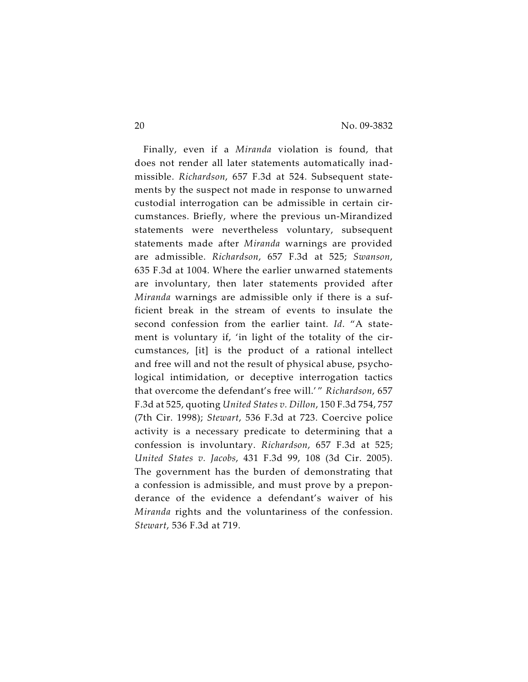Finally, even if a *Miranda* violation is found, that does not render all later statements automatically inadmissible. *Richardson*, 657 F.3d at 524. Subsequent statements by the suspect not made in response to unwarned custodial interrogation can be admissible in certain circumstances. Briefly, where the previous un-Mirandized statements were nevertheless voluntary, subsequent statements made after *Miranda* warnings are provided are admissible. *Richardson*, 657 F.3d at 525; *Swanson*, 635 F.3d at 1004. Where the earlier unwarned statements are involuntary, then later statements provided after *Miranda* warnings are admissible only if there is a sufficient break in the stream of events to insulate the second confession from the earlier taint. *Id*. "A statement is voluntary if, 'in light of the totality of the circumstances, [it] is the product of a rational intellect and free will and not the result of physical abuse, psychological intimidation, or deceptive interrogation tactics that overcome the defendant's free will.' " *Richardson*, 657 F.3d at 525, quoting *United States v. Dillon*, 150 F.3d 754, 757 (7th Cir. 1998); *Stewart*, 536 F.3d at 723. Coercive police activity is a necessary predicate to determining that a confession is involuntary. *Richardson*, 657 F.3d at 525; *United States v. Jacobs*, 431 F.3d 99, 108 (3d Cir. 2005). The government has the burden of demonstrating that a confession is admissible, and must prove by a preponderance of the evidence a defendant's waiver of his *Miranda* rights and the voluntariness of the confession. *Stewart*, 536 F.3d at 719.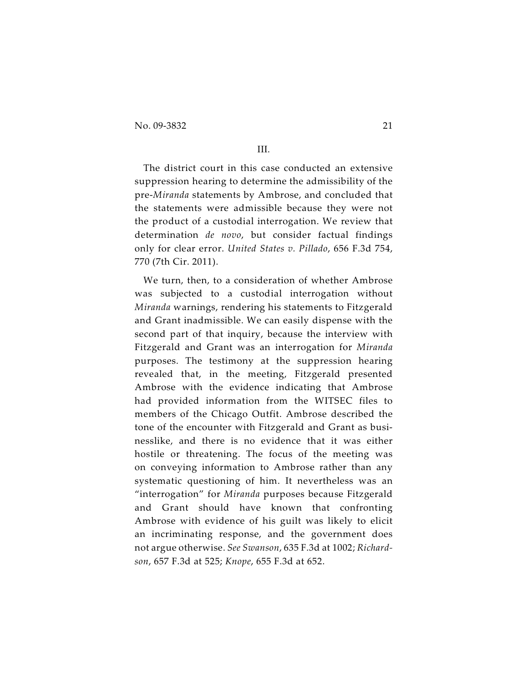No. 09-3832 21

## III.

The district court in this case conducted an extensive suppression hearing to determine the admissibility of the pre-*Miranda* statements by Ambrose, and concluded that the statements were admissible because they were not the product of a custodial interrogation. We review that determination *de novo*, but consider factual findings only for clear error. *United States v. Pillado*, 656 F.3d 754, 770 (7th Cir. 2011).

We turn, then, to a consideration of whether Ambrose was subjected to a custodial interrogation without *Miranda* warnings, rendering his statements to Fitzgerald and Grant inadmissible. We can easily dispense with the second part of that inquiry, because the interview with Fitzgerald and Grant was an interrogation for *Miranda* purposes. The testimony at the suppression hearing revealed that, in the meeting, Fitzgerald presented Ambrose with the evidence indicating that Ambrose had provided information from the WITSEC files to members of the Chicago Outfit. Ambrose described the tone of the encounter with Fitzgerald and Grant as businesslike, and there is no evidence that it was either hostile or threatening. The focus of the meeting was on conveying information to Ambrose rather than any systematic questioning of him. It nevertheless was an "interrogation" for *Miranda* purposes because Fitzgerald and Grant should have known that confronting Ambrose with evidence of his guilt was likely to elicit an incriminating response, and the government does not argue otherwise. *See Swanson*, 635 F.3d at 1002; *Richardson*, 657 F.3d at 525; *Knope*, 655 F.3d at 652.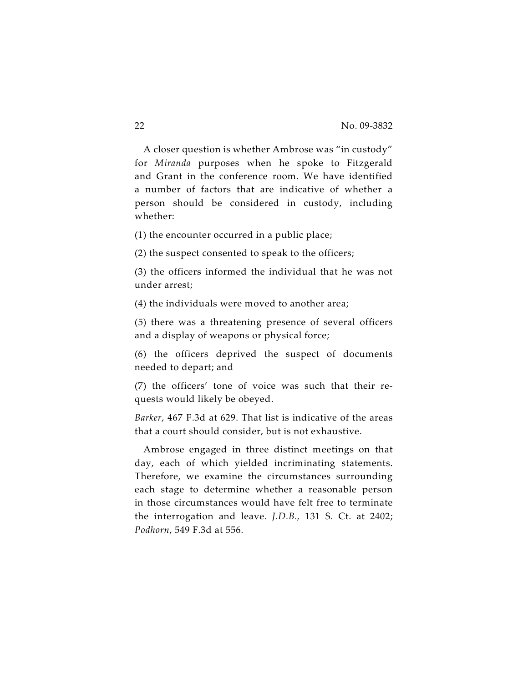A closer question is whether Ambrose was "in custody" for *Miranda* purposes when he spoke to Fitzgerald and Grant in the conference room. We have identified a number of factors that are indicative of whether a person should be considered in custody, including whether:

(1) the encounter occurred in a public place;

(2) the suspect consented to speak to the officers;

(3) the officers informed the individual that he was not under arrest;

(4) the individuals were moved to another area;

(5) there was a threatening presence of several officers and a display of weapons or physical force;

(6) the officers deprived the suspect of documents needed to depart; and

(7) the officers' tone of voice was such that their requests would likely be obeyed.

*Barker*, 467 F.3d at 629. That list is indicative of the areas that a court should consider, but is not exhaustive.

Ambrose engaged in three distinct meetings on that day, each of which yielded incriminating statements. Therefore, we examine the circumstances surrounding each stage to determine whether a reasonable person in those circumstances would have felt free to terminate the interrogation and leave. *J.D.B.,* 131 S. Ct. at 2402; *Podhorn*, 549 F.3d at 556.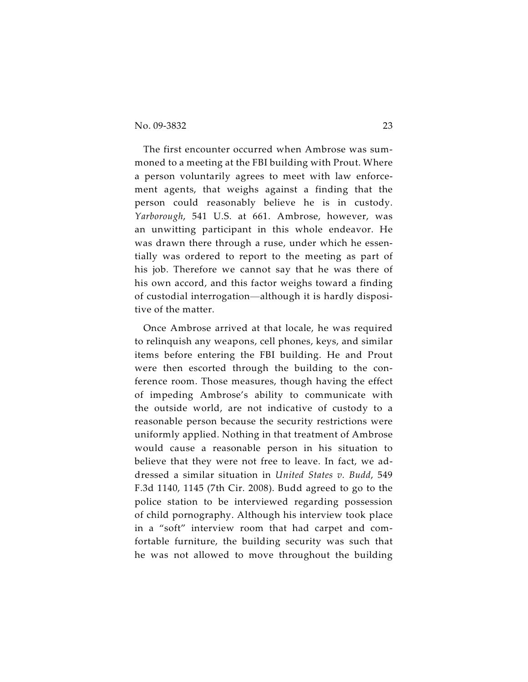The first encounter occurred when Ambrose was summoned to a meeting at the FBI building with Prout. Where a person voluntarily agrees to meet with law enforcement agents, that weighs against a finding that the person could reasonably believe he is in custody. *Yarborough*, 541 U.S. at 661. Ambrose, however, was an unwitting participant in this whole endeavor. He was drawn there through a ruse, under which he essentially was ordered to report to the meeting as part of his job. Therefore we cannot say that he was there of his own accord, and this factor weighs toward a finding of custodial interrogation—although it is hardly dispositive of the matter.

Once Ambrose arrived at that locale, he was required to relinquish any weapons, cell phones, keys, and similar items before entering the FBI building. He and Prout were then escorted through the building to the conference room. Those measures, though having the effect of impeding Ambrose's ability to communicate with the outside world, are not indicative of custody to a reasonable person because the security restrictions were uniformly applied. Nothing in that treatment of Ambrose would cause a reasonable person in his situation to believe that they were not free to leave. In fact, we addressed a similar situation in *United States v. Budd*, 549 F.3d 1140, 1145 (7th Cir. 2008). Budd agreed to go to the police station to be interviewed regarding possession of child pornography. Although his interview took place in a "soft" interview room that had carpet and comfortable furniture, the building security was such that he was not allowed to move throughout the building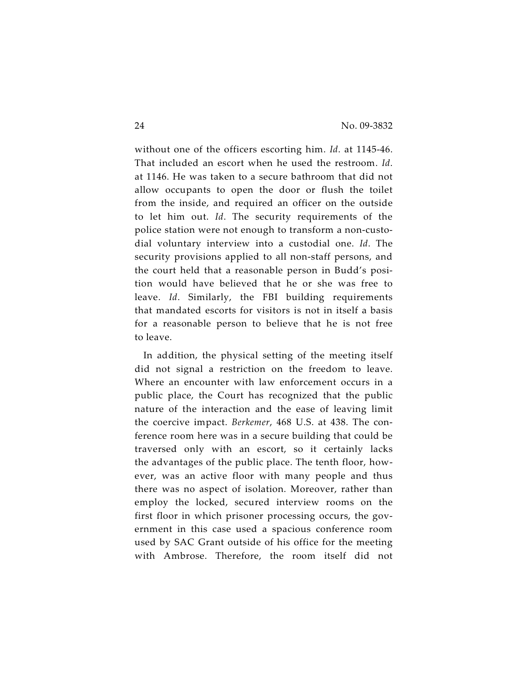without one of the officers escorting him. *Id*. at 1145-46. That included an escort when he used the restroom. *Id*. at 1146. He was taken to a secure bathroom that did not allow occupants to open the door or flush the toilet from the inside, and required an officer on the outside to let him out. *Id*. The security requirements of the police station were not enough to transform a non-custodial voluntary interview into a custodial one. *Id*. The security provisions applied to all non-staff persons, and the court held that a reasonable person in Budd's position would have believed that he or she was free to leave. *Id*. Similarly, the FBI building requirements that mandated escorts for visitors is not in itself a basis for a reasonable person to believe that he is not free to leave.

In addition, the physical setting of the meeting itself did not signal a restriction on the freedom to leave. Where an encounter with law enforcement occurs in a public place, the Court has recognized that the public nature of the interaction and the ease of leaving limit the coercive impact. *Berkemer*, 468 U.S. at 438. The conference room here was in a secure building that could be traversed only with an escort, so it certainly lacks the advantages of the public place. The tenth floor, however, was an active floor with many people and thus there was no aspect of isolation. Moreover, rather than employ the locked, secured interview rooms on the first floor in which prisoner processing occurs, the government in this case used a spacious conference room used by SAC Grant outside of his office for the meeting with Ambrose. Therefore, the room itself did not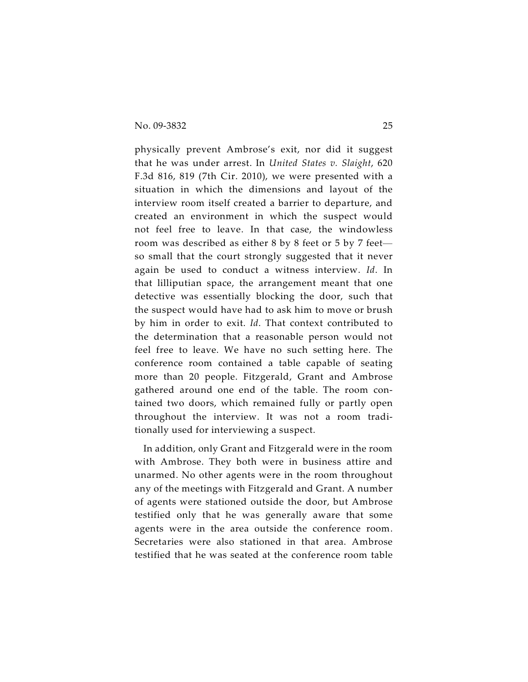physically prevent Ambrose's exit, nor did it suggest that he was under arrest. In *United States v. Slaight*, 620 F.3d 816, 819 (7th Cir. 2010), we were presented with a situation in which the dimensions and layout of the interview room itself created a barrier to departure, and created an environment in which the suspect would not feel free to leave. In that case, the windowless room was described as either 8 by 8 feet or 5 by 7 feet so small that the court strongly suggested that it never again be used to conduct a witness interview. *Id*. In that lilliputian space, the arrangement meant that one detective was essentially blocking the door, such that the suspect would have had to ask him to move or brush by him in order to exit. *Id*. That context contributed to the determination that a reasonable person would not feel free to leave. We have no such setting here. The conference room contained a table capable of seating more than 20 people. Fitzgerald, Grant and Ambrose gathered around one end of the table. The room contained two doors, which remained fully or partly open throughout the interview. It was not a room traditionally used for interviewing a suspect.

In addition, only Grant and Fitzgerald were in the room with Ambrose. They both were in business attire and unarmed. No other agents were in the room throughout any of the meetings with Fitzgerald and Grant. A number of agents were stationed outside the door, but Ambrose testified only that he was generally aware that some agents were in the area outside the conference room. Secretaries were also stationed in that area. Ambrose testified that he was seated at the conference room table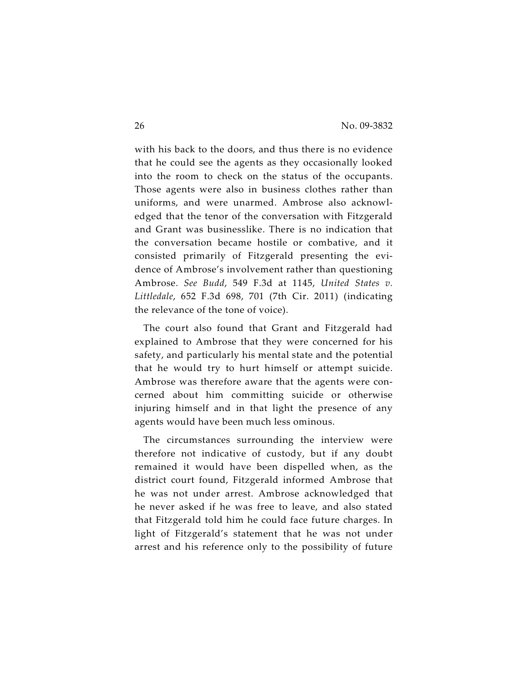with his back to the doors, and thus there is no evidence that he could see the agents as they occasionally looked into the room to check on the status of the occupants. Those agents were also in business clothes rather than uniforms, and were unarmed. Ambrose also acknowledged that the tenor of the conversation with Fitzgerald and Grant was businesslike. There is no indication that the conversation became hostile or combative, and it consisted primarily of Fitzgerald presenting the evidence of Ambrose's involvement rather than questioning Ambrose. *See Budd*, 549 F.3d at 1145, *United States v. Littledale*, 652 F.3d 698, 701 (7th Cir. 2011) (indicating the relevance of the tone of voice).

The court also found that Grant and Fitzgerald had explained to Ambrose that they were concerned for his safety, and particularly his mental state and the potential that he would try to hurt himself or attempt suicide. Ambrose was therefore aware that the agents were concerned about him committing suicide or otherwise injuring himself and in that light the presence of any agents would have been much less ominous.

The circumstances surrounding the interview were therefore not indicative of custody, but if any doubt remained it would have been dispelled when, as the district court found, Fitzgerald informed Ambrose that he was not under arrest. Ambrose acknowledged that he never asked if he was free to leave, and also stated that Fitzgerald told him he could face future charges. In light of Fitzgerald's statement that he was not under arrest and his reference only to the possibility of future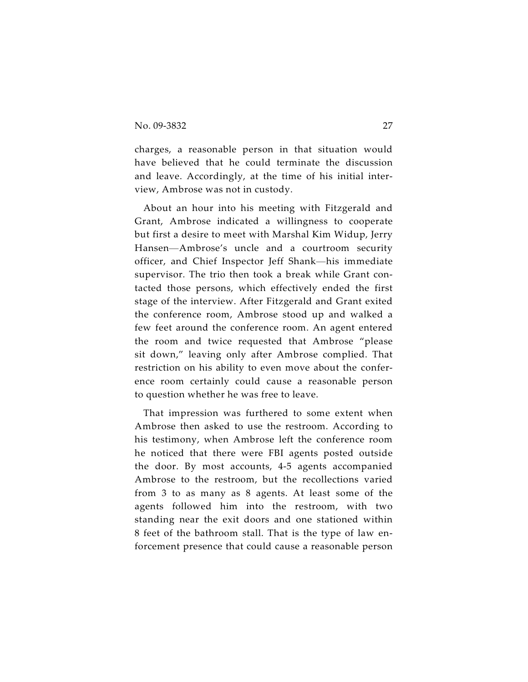charges, a reasonable person in that situation would have believed that he could terminate the discussion and leave. Accordingly, at the time of his initial interview, Ambrose was not in custody.

About an hour into his meeting with Fitzgerald and Grant, Ambrose indicated a willingness to cooperate but first a desire to meet with Marshal Kim Widup, Jerry Hansen—Ambrose's uncle and a courtroom security officer, and Chief Inspector Jeff Shank—his immediate supervisor. The trio then took a break while Grant contacted those persons, which effectively ended the first stage of the interview. After Fitzgerald and Grant exited the conference room, Ambrose stood up and walked a few feet around the conference room. An agent entered the room and twice requested that Ambrose "please sit down," leaving only after Ambrose complied. That restriction on his ability to even move about the conference room certainly could cause a reasonable person to question whether he was free to leave.

That impression was furthered to some extent when Ambrose then asked to use the restroom. According to his testimony, when Ambrose left the conference room he noticed that there were FBI agents posted outside the door. By most accounts, 4-5 agents accompanied Ambrose to the restroom, but the recollections varied from 3 to as many as 8 agents. At least some of the agents followed him into the restroom, with two standing near the exit doors and one stationed within 8 feet of the bathroom stall. That is the type of law enforcement presence that could cause a reasonable person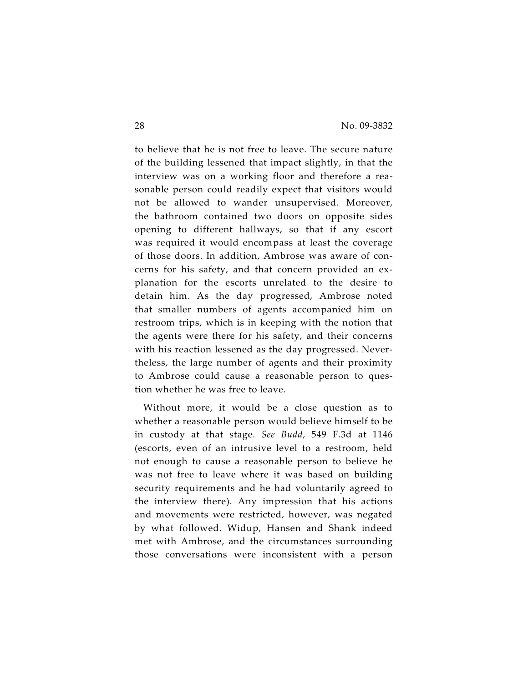to believe that he is not free to leave. The secure nature of the building lessened that impact slightly, in that the interview was on a working floor and therefore a reasonable person could readily expect that visitors would not be allowed to wander unsupervised. Moreover, the bathroom contained two doors on opposite sides opening to different hallways, so that if any escort was required it would encompass at least the coverage of those doors. In addition, Ambrose was aware of concerns for his safety, and that concern provided an explanation for the escorts unrelated to the desire to detain him. As the day progressed, Ambrose noted that smaller numbers of agents accompanied him on restroom trips, which is in keeping with the notion that the agents were there for his safety, and their concerns with his reaction lessened as the day progressed. Nevertheless, the large number of agents and their proximity to Ambrose could cause a reasonable person to question whether he was free to leave.

Without more, it would be a close question as to whether a reasonable person would believe himself to be in custody at that stage. *See Budd*, 549 F.3d at 1146 (escorts, even of an intrusive level to a restroom, held not enough to cause a reasonable person to believe he was not free to leave where it was based on building security requirements and he had voluntarily agreed to the interview there). Any impression that his actions and movements were restricted, however, was negated by what followed. Widup, Hansen and Shank indeed met with Ambrose, and the circumstances surrounding those conversations were inconsistent with a person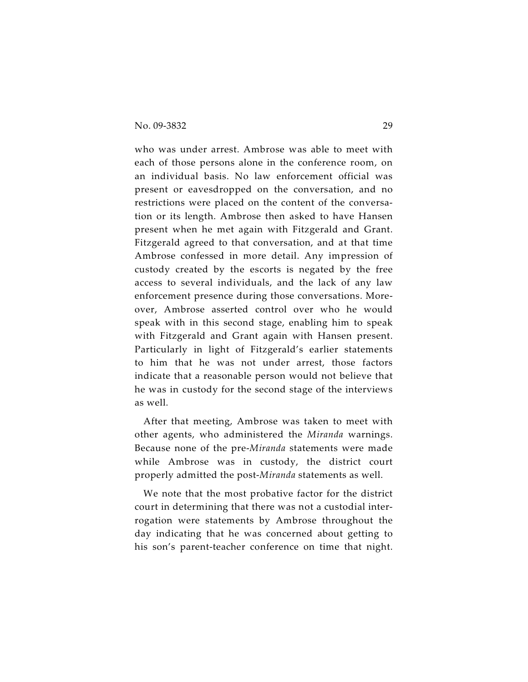who was under arrest. Ambrose was able to meet with each of those persons alone in the conference room, on an individual basis. No law enforcement official was present or eavesdropped on the conversation, and no restrictions were placed on the content of the conversation or its length. Ambrose then asked to have Hansen present when he met again with Fitzgerald and Grant. Fitzgerald agreed to that conversation, and at that time Ambrose confessed in more detail. Any impression of custody created by the escorts is negated by the free access to several individuals, and the lack of any law enforcement presence during those conversations. Moreover, Ambrose asserted control over who he would speak with in this second stage, enabling him to speak with Fitzgerald and Grant again with Hansen present. Particularly in light of Fitzgerald's earlier statements to him that he was not under arrest, those factors indicate that a reasonable person would not believe that he was in custody for the second stage of the interviews as well.

After that meeting, Ambrose was taken to meet with other agents, who administered the *Miranda* warnings. Because none of the pre-*Miranda* statements were made while Ambrose was in custody, the district court properly admitted the post-*Miranda* statements as well.

We note that the most probative factor for the district court in determining that there was not a custodial interrogation were statements by Ambrose throughout the day indicating that he was concerned about getting to his son's parent-teacher conference on time that night.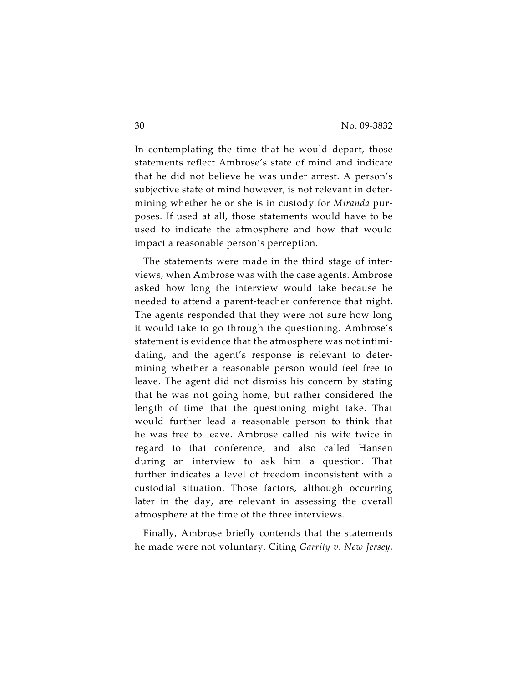In contemplating the time that he would depart, those statements reflect Ambrose's state of mind and indicate that he did not believe he was under arrest. A person's subjective state of mind however, is not relevant in determining whether he or she is in custody for *Miranda* purposes. If used at all, those statements would have to be used to indicate the atmosphere and how that would impact a reasonable person's perception.

The statements were made in the third stage of interviews, when Ambrose was with the case agents. Ambrose asked how long the interview would take because he needed to attend a parent-teacher conference that night. The agents responded that they were not sure how long it would take to go through the questioning. Ambrose's statement is evidence that the atmosphere was not intimidating, and the agent's response is relevant to determining whether a reasonable person would feel free to leave. The agent did not dismiss his concern by stating that he was not going home, but rather considered the length of time that the questioning might take. That would further lead a reasonable person to think that he was free to leave. Ambrose called his wife twice in regard to that conference, and also called Hansen during an interview to ask him a question. That further indicates a level of freedom inconsistent with a custodial situation. Those factors, although occurring later in the day, are relevant in assessing the overall atmosphere at the time of the three interviews.

Finally, Ambrose briefly contends that the statements he made were not voluntary. Citing *Garrity v. New Jersey*,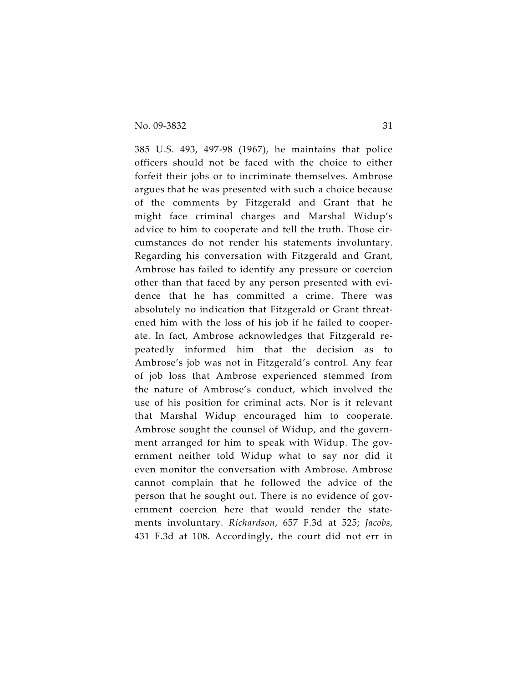385 U.S. 493, 497-98 (1967), he maintains that police officers should not be faced with the choice to either forfeit their jobs or to incriminate themselves. Ambrose argues that he was presented with such a choice because of the comments by Fitzgerald and Grant that he might face criminal charges and Marshal Widup's advice to him to cooperate and tell the truth. Those circumstances do not render his statements involuntary. Regarding his conversation with Fitzgerald and Grant, Ambrose has failed to identify any pressure or coercion other than that faced by any person presented with evidence that he has committed a crime. There was absolutely no indication that Fitzgerald or Grant threatened him with the loss of his job if he failed to cooperate. In fact, Ambrose acknowledges that Fitzgerald repeatedly informed him that the decision as to Ambrose's job was not in Fitzgerald's control. Any fear of job loss that Ambrose experienced stemmed from the nature of Ambrose's conduct, which involved the use of his position for criminal acts. Nor is it relevant that Marshal Widup encouraged him to cooperate. Ambrose sought the counsel of Widup, and the government arranged for him to speak with Widup. The government neither told Widup what to say nor did it even monitor the conversation with Ambrose. Ambrose cannot complain that he followed the advice of the person that he sought out. There is no evidence of government coercion here that would render the statements involuntary. *Richardson*, 657 F.3d at 525; *Jacobs*, 431 F.3d at 108. Accordingly, the court did not err in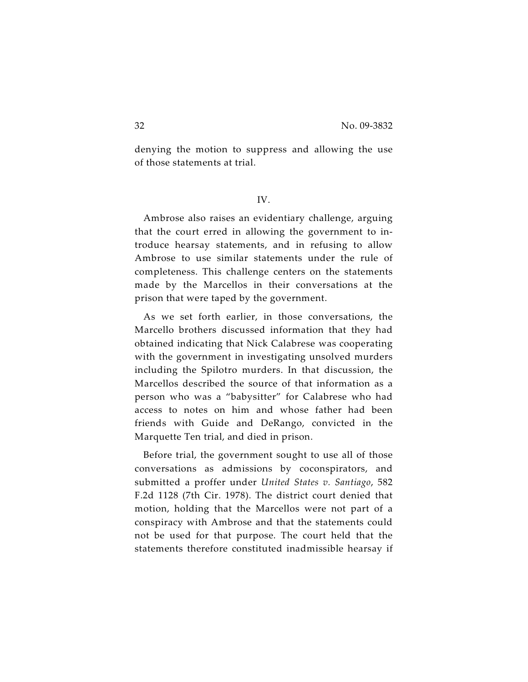denying the motion to suppress and allowing the use of those statements at trial.

### IV.

Ambrose also raises an evidentiary challenge, arguing that the court erred in allowing the government to introduce hearsay statements, and in refusing to allow Ambrose to use similar statements under the rule of completeness. This challenge centers on the statements made by the Marcellos in their conversations at the prison that were taped by the government.

As we set forth earlier, in those conversations, the Marcello brothers discussed information that they had obtained indicating that Nick Calabrese was cooperating with the government in investigating unsolved murders including the Spilotro murders. In that discussion, the Marcellos described the source of that information as a person who was a "babysitter" for Calabrese who had access to notes on him and whose father had been friends with Guide and DeRango, convicted in the Marquette Ten trial, and died in prison.

Before trial, the government sought to use all of those conversations as admissions by coconspirators, and submitted a proffer under *United States v. Santiago*, 582 F.2d 1128 (7th Cir. 1978). The district court denied that motion, holding that the Marcellos were not part of a conspiracy with Ambrose and that the statements could not be used for that purpose. The court held that the statements therefore constituted inadmissible hearsay if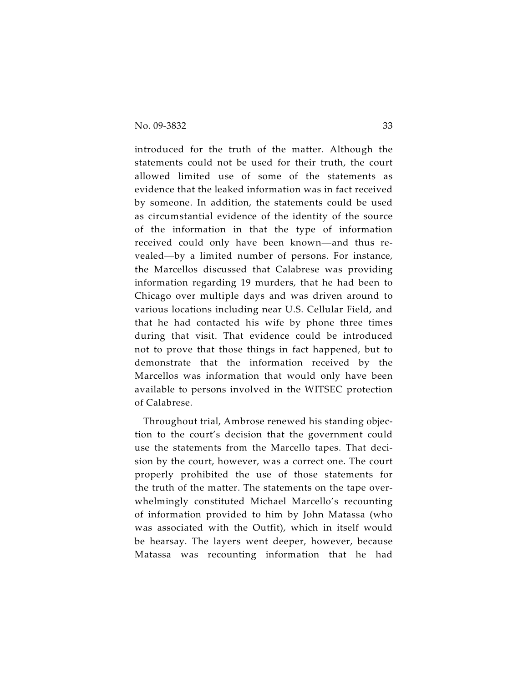introduced for the truth of the matter. Although the statements could not be used for their truth, the court allowed limited use of some of the statements as evidence that the leaked information was in fact received by someone. In addition, the statements could be used as circumstantial evidence of the identity of the source of the information in that the type of information received could only have been known—and thus revealed—by a limited number of persons. For instance, the Marcellos discussed that Calabrese was providing information regarding 19 murders, that he had been to Chicago over multiple days and was driven around to various locations including near U.S. Cellular Field, and that he had contacted his wife by phone three times during that visit. That evidence could be introduced not to prove that those things in fact happened, but to demonstrate that the information received by the Marcellos was information that would only have been available to persons involved in the WITSEC protection of Calabrese.

Throughout trial, Ambrose renewed his standing objection to the court's decision that the government could use the statements from the Marcello tapes. That decision by the court, however, was a correct one. The court properly prohibited the use of those statements for the truth of the matter. The statements on the tape overwhelmingly constituted Michael Marcello's recounting of information provided to him by John Matassa (who was associated with the Outfit), which in itself would be hearsay. The layers went deeper, however, because Matassa was recounting information that he had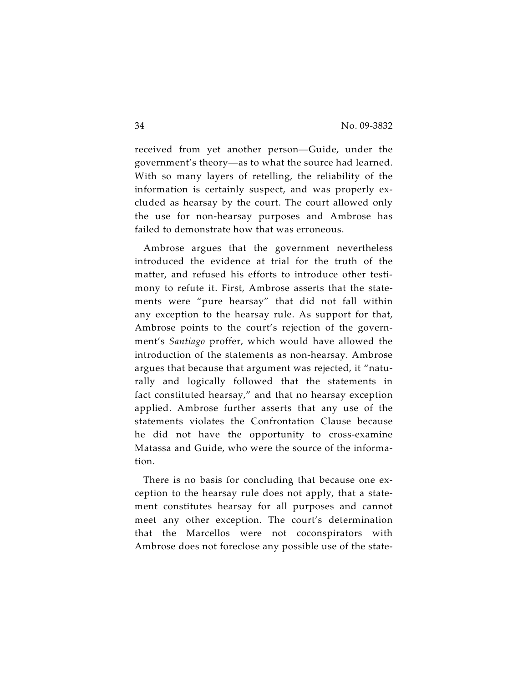received from yet another person—Guide, under the government's theory—as to what the source had learned. With so many layers of retelling, the reliability of the information is certainly suspect, and was properly excluded as hearsay by the court. The court allowed only the use for non-hearsay purposes and Ambrose has failed to demonstrate how that was erroneous.

Ambrose argues that the government nevertheless introduced the evidence at trial for the truth of the matter, and refused his efforts to introduce other testimony to refute it. First, Ambrose asserts that the statements were "pure hearsay" that did not fall within any exception to the hearsay rule. As support for that, Ambrose points to the court's rejection of the government's *Santiago* proffer, which would have allowed the introduction of the statements as non-hearsay. Ambrose argues that because that argument was rejected, it "naturally and logically followed that the statements in fact constituted hearsay," and that no hearsay exception applied. Ambrose further asserts that any use of the statements violates the Confrontation Clause because he did not have the opportunity to cross-examine Matassa and Guide, who were the source of the information.

There is no basis for concluding that because one exception to the hearsay rule does not apply, that a statement constitutes hearsay for all purposes and cannot meet any other exception. The court's determination that the Marcellos were not coconspirators with Ambrose does not foreclose any possible use of the state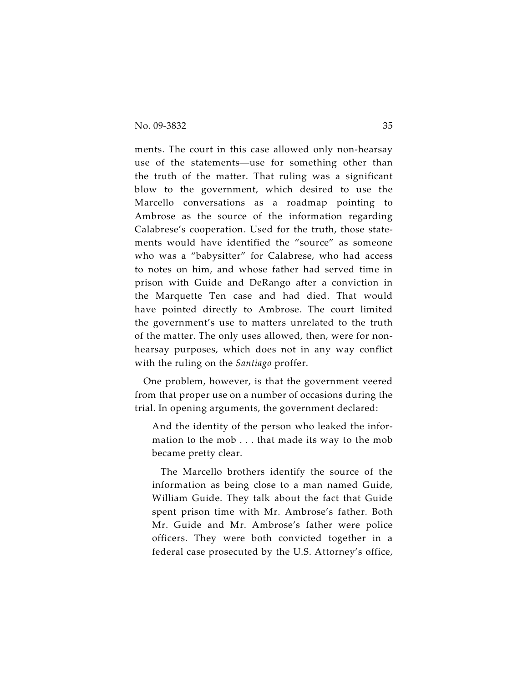ments. The court in this case allowed only non-hearsay use of the statements—use for something other than the truth of the matter. That ruling was a significant blow to the government, which desired to use the Marcello conversations as a roadmap pointing to Ambrose as the source of the information regarding Calabrese's cooperation. Used for the truth, those statements would have identified the "source" as someone who was a "babysitter" for Calabrese, who had access to notes on him, and whose father had served time in prison with Guide and DeRango after a conviction in the Marquette Ten case and had died. That would have pointed directly to Ambrose. The court limited the government's use to matters unrelated to the truth of the matter. The only uses allowed, then, were for nonhearsay purposes, which does not in any way conflict with the ruling on the *Santiago* proffer.

One problem, however, is that the government veered from that proper use on a number of occasions during the trial. In opening arguments, the government declared:

And the identity of the person who leaked the information to the mob . . . that made its way to the mob became pretty clear.

The Marcello brothers identify the source of the information as being close to a man named Guide, William Guide. They talk about the fact that Guide spent prison time with Mr. Ambrose's father. Both Mr. Guide and Mr. Ambrose's father were police officers. They were both convicted together in a federal case prosecuted by the U.S. Attorney's office,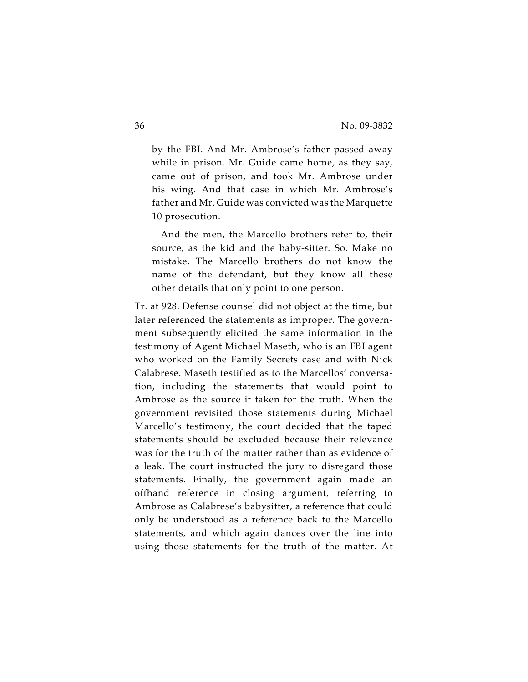by the FBI. And Mr. Ambrose's father passed away while in prison. Mr. Guide came home, as they say, came out of prison, and took Mr. Ambrose under his wing. And that case in which Mr. Ambrose's father and Mr. Guide was convicted was the Marquette 10 prosecution.

And the men, the Marcello brothers refer to, their source, as the kid and the baby-sitter. So. Make no mistake. The Marcello brothers do not know the name of the defendant, but they know all these other details that only point to one person.

Tr. at 928. Defense counsel did not object at the time, but later referenced the statements as improper. The government subsequently elicited the same information in the testimony of Agent Michael Maseth, who is an FBI agent who worked on the Family Secrets case and with Nick Calabrese. Maseth testified as to the Marcellos' conversation, including the statements that would point to Ambrose as the source if taken for the truth. When the government revisited those statements during Michael Marcello's testimony, the court decided that the taped statements should be excluded because their relevance was for the truth of the matter rather than as evidence of a leak. The court instructed the jury to disregard those statements. Finally, the government again made an offhand reference in closing argument, referring to Ambrose as Calabrese's babysitter, a reference that could only be understood as a reference back to the Marcello statements, and which again dances over the line into using those statements for the truth of the matter. At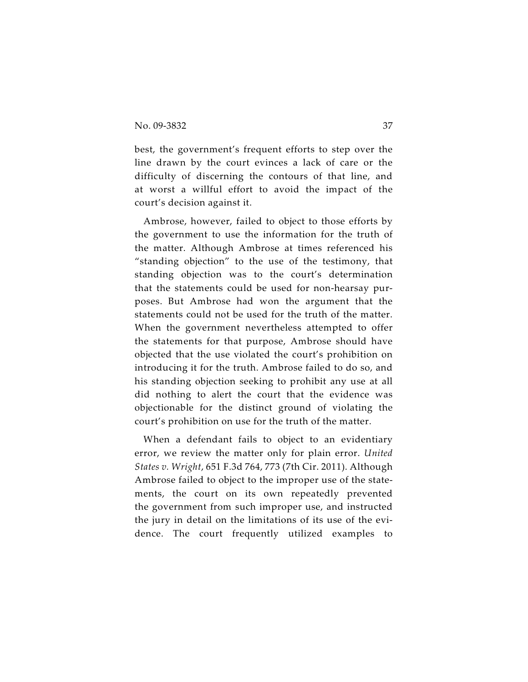best, the government's frequent efforts to step over the line drawn by the court evinces a lack of care or the difficulty of discerning the contours of that line, and at worst a willful effort to avoid the impact of the court's decision against it.

Ambrose, however, failed to object to those efforts by the government to use the information for the truth of the matter. Although Ambrose at times referenced his "standing objection" to the use of the testimony, that standing objection was to the court's determination that the statements could be used for non-hearsay purposes. But Ambrose had won the argument that the statements could not be used for the truth of the matter. When the government nevertheless attempted to offer the statements for that purpose, Ambrose should have objected that the use violated the court's prohibition on introducing it for the truth. Ambrose failed to do so, and his standing objection seeking to prohibit any use at all did nothing to alert the court that the evidence was objectionable for the distinct ground of violating the court's prohibition on use for the truth of the matter.

When a defendant fails to object to an evidentiary error, we review the matter only for plain error. *United States v. Wright*, 651 F.3d 764, 773 (7th Cir. 2011). Although Ambrose failed to object to the improper use of the statements, the court on its own repeatedly prevented the government from such improper use, and instructed the jury in detail on the limitations of its use of the evidence. The court frequently utilized examples to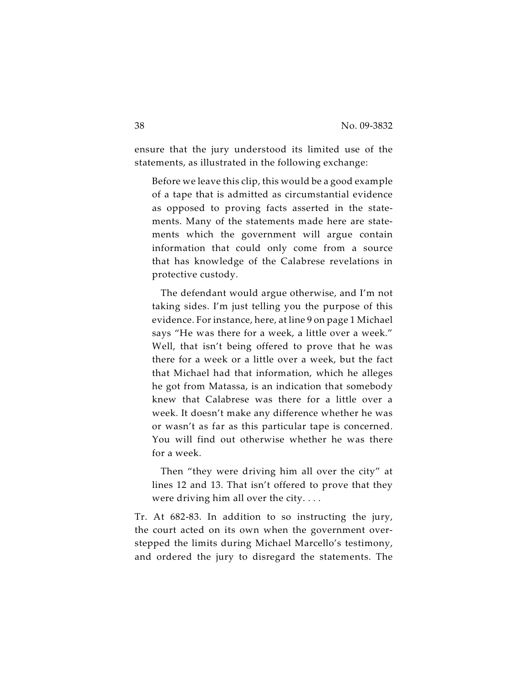ensure that the jury understood its limited use of the statements, as illustrated in the following exchange:

Before we leave this clip, this would be a good example of a tape that is admitted as circumstantial evidence as opposed to proving facts asserted in the statements. Many of the statements made here are statements which the government will argue contain information that could only come from a source that has knowledge of the Calabrese revelations in protective custody.

The defendant would argue otherwise, and I'm not taking sides. I'm just telling you the purpose of this evidence. For instance, here, at line 9 on page 1 Michael says "He was there for a week, a little over a week." Well, that isn't being offered to prove that he was there for a week or a little over a week, but the fact that Michael had that information, which he alleges he got from Matassa, is an indication that somebody knew that Calabrese was there for a little over a week. It doesn't make any difference whether he was or wasn't as far as this particular tape is concerned. You will find out otherwise whether he was there for a week.

Then "they were driving him all over the city" at lines 12 and 13. That isn't offered to prove that they were driving him all over the city. . . .

Tr. At 682-83. In addition to so instructing the jury, the court acted on its own when the government overstepped the limits during Michael Marcello's testimony, and ordered the jury to disregard the statements. The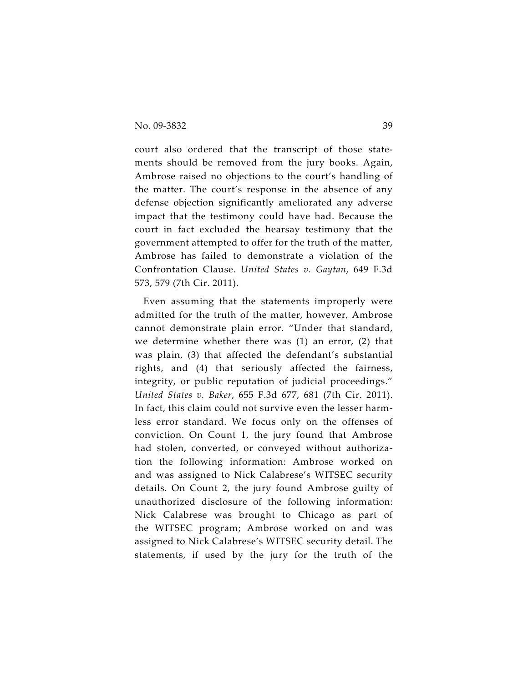court also ordered that the transcript of those statements should be removed from the jury books. Again, Ambrose raised no objections to the court's handling of the matter. The court's response in the absence of any defense objection significantly ameliorated any adverse impact that the testimony could have had. Because the court in fact excluded the hearsay testimony that the government attempted to offer for the truth of the matter, Ambrose has failed to demonstrate a violation of the Confrontation Clause. *United States v. Gaytan*, 649 F.3d 573, 579 (7th Cir. 2011).

Even assuming that the statements improperly were admitted for the truth of the matter, however, Ambrose cannot demonstrate plain error. "Under that standard, we determine whether there was (1) an error, (2) that was plain, (3) that affected the defendant's substantial rights, and (4) that seriously affected the fairness, integrity, or public reputation of judicial proceedings." *United States v. Baker*, 655 F.3d 677, 681 (7th Cir. 2011). In fact, this claim could not survive even the lesser harmless error standard. We focus only on the offenses of conviction. On Count 1, the jury found that Ambrose had stolen, converted, or conveyed without authorization the following information: Ambrose worked on and was assigned to Nick Calabrese's WITSEC security details. On Count 2, the jury found Ambrose guilty of unauthorized disclosure of the following information: Nick Calabrese was brought to Chicago as part of the WITSEC program; Ambrose worked on and was assigned to Nick Calabrese's WITSEC security detail. The statements, if used by the jury for the truth of the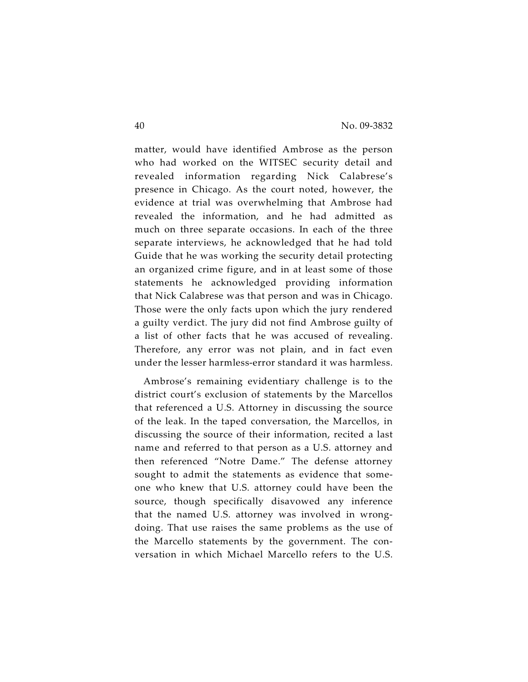matter, would have identified Ambrose as the person who had worked on the WITSEC security detail and revealed information regarding Nick Calabrese's presence in Chicago. As the court noted, however, the evidence at trial was overwhelming that Ambrose had revealed the information, and he had admitted as much on three separate occasions. In each of the three separate interviews, he acknowledged that he had told Guide that he was working the security detail protecting an organized crime figure, and in at least some of those statements he acknowledged providing information that Nick Calabrese was that person and was in Chicago. Those were the only facts upon which the jury rendered a guilty verdict. The jury did not find Ambrose guilty of a list of other facts that he was accused of revealing. Therefore, any error was not plain, and in fact even under the lesser harmless-error standard it was harmless.

Ambrose's remaining evidentiary challenge is to the district court's exclusion of statements by the Marcellos that referenced a U.S. Attorney in discussing the source of the leak. In the taped conversation, the Marcellos, in discussing the source of their information, recited a last name and referred to that person as a U.S. attorney and then referenced "Notre Dame." The defense attorney sought to admit the statements as evidence that someone who knew that U.S. attorney could have been the source, though specifically disavowed any inference that the named U.S. attorney was involved in wrongdoing. That use raises the same problems as the use of the Marcello statements by the government. The conversation in which Michael Marcello refers to the U.S.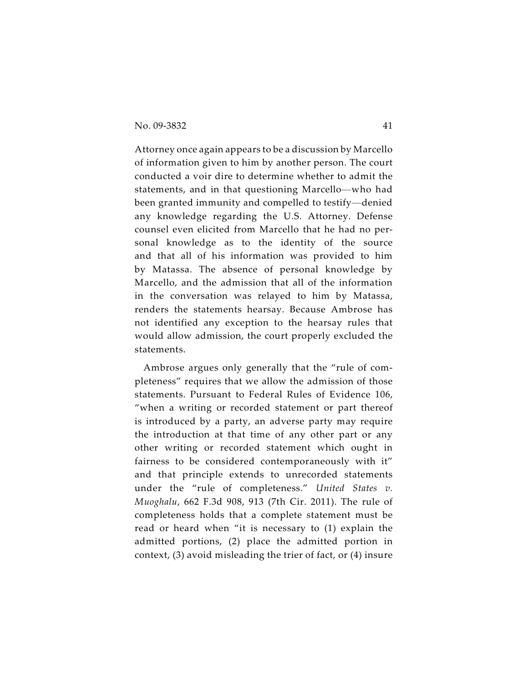Attorney once again appears to be a discussion by Marcello of information given to him by another person. The court conducted a voir dire to determine whether to admit the statements, and in that questioning Marcello—who had been granted immunity and compelled to testify—denied any knowledge regarding the U.S. Attorney. Defense counsel even elicited from Marcello that he had no personal knowledge as to the identity of the source and that all of his information was provided to him by Matassa. The absence of personal knowledge by Marcello, and the admission that all of the information in the conversation was relayed to him by Matassa, renders the statements hearsay. Because Ambrose has not identified any exception to the hearsay rules that would allow admission, the court properly excluded the statements.

Ambrose argues only generally that the "rule of completeness" requires that we allow the admission of those statements. Pursuant to Federal Rules of Evidence 106, "when a writing or recorded statement or part thereof is introduced by a party, an adverse party may require the introduction at that time of any other part or any other writing or recorded statement which ought in fairness to be considered contemporaneously with it" and that principle extends to unrecorded statements under the "rule of completeness." *United States v. Muoghalu*, 662 F.3d 908, 913 (7th Cir. 2011). The rule of completeness holds that a complete statement must be read or heard when "it is necessary to (1) explain the admitted portions, (2) place the admitted portion in context, (3) avoid misleading the trier of fact, or (4) insure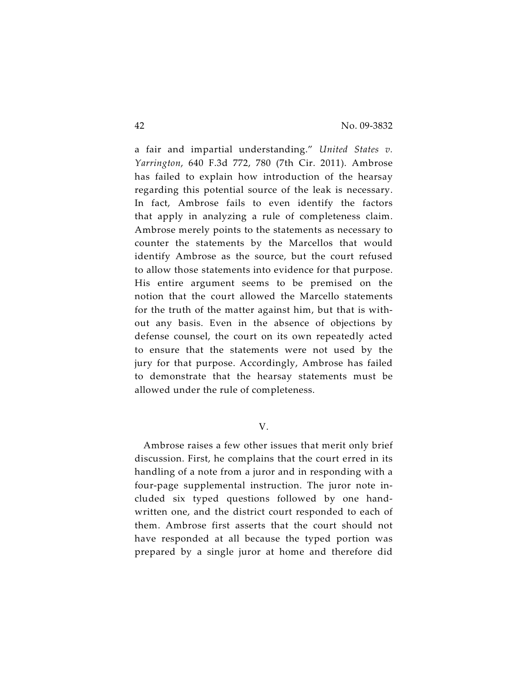a fair and impartial understanding." *United States v. Yarrington*, 640 F.3d 772, 780 (7th Cir. 2011). Ambrose has failed to explain how introduction of the hearsay regarding this potential source of the leak is necessary. In fact, Ambrose fails to even identify the factors that apply in analyzing a rule of completeness claim. Ambrose merely points to the statements as necessary to counter the statements by the Marcellos that would identify Ambrose as the source, but the court refused to allow those statements into evidence for that purpose. His entire argument seems to be premised on the notion that the court allowed the Marcello statements for the truth of the matter against him, but that is without any basis. Even in the absence of objections by defense counsel, the court on its own repeatedly acted to ensure that the statements were not used by the jury for that purpose. Accordingly, Ambrose has failed to demonstrate that the hearsay statements must be allowed under the rule of completeness.

V.

Ambrose raises a few other issues that merit only brief discussion. First, he complains that the court erred in its handling of a note from a juror and in responding with a four-page supplemental instruction. The juror note included six typed questions followed by one handwritten one, and the district court responded to each of them. Ambrose first asserts that the court should not have responded at all because the typed portion was prepared by a single juror at home and therefore did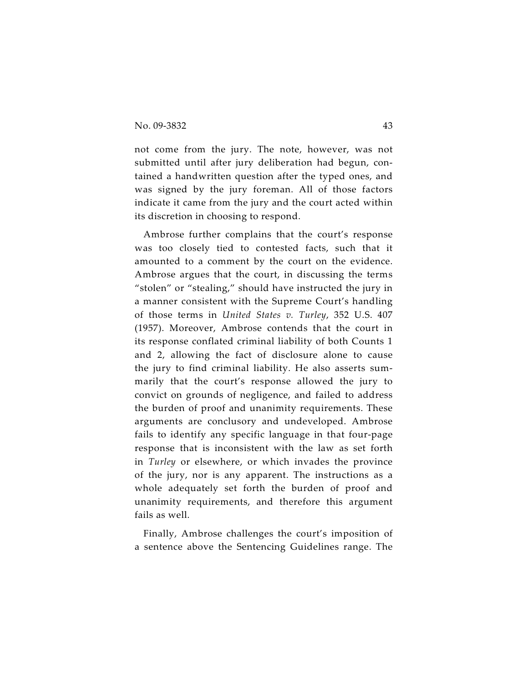not come from the jury. The note, however, was not submitted until after jury deliberation had begun, contained a handwritten question after the typed ones, and was signed by the jury foreman. All of those factors indicate it came from the jury and the court acted within its discretion in choosing to respond.

Ambrose further complains that the court's response was too closely tied to contested facts, such that it amounted to a comment by the court on the evidence. Ambrose argues that the court, in discussing the terms "stolen" or "stealing," should have instructed the jury in a manner consistent with the Supreme Court's handling of those terms in *United States v. Turley*, 352 U.S. 407 (1957). Moreover, Ambrose contends that the court in its response conflated criminal liability of both Counts 1 and 2, allowing the fact of disclosure alone to cause the jury to find criminal liability. He also asserts summarily that the court's response allowed the jury to convict on grounds of negligence, and failed to address the burden of proof and unanimity requirements. These arguments are conclusory and undeveloped. Ambrose fails to identify any specific language in that four-page response that is inconsistent with the law as set forth in *Turley* or elsewhere, or which invades the province of the jury, nor is any apparent. The instructions as a whole adequately set forth the burden of proof and unanimity requirements, and therefore this argument fails as well.

Finally, Ambrose challenges the court's imposition of a sentence above the Sentencing Guidelines range. The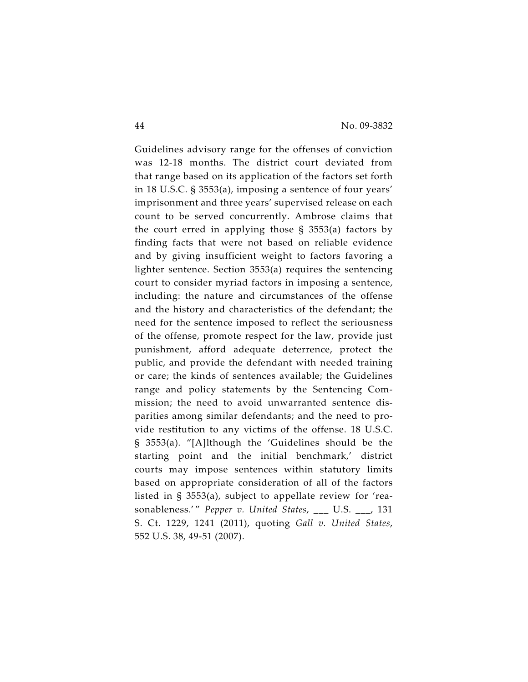Guidelines advisory range for the offenses of conviction was 12-18 months. The district court deviated from that range based on its application of the factors set forth in 18 U.S.C. § 3553(a), imposing a sentence of four years' imprisonment and three years' supervised release on each count to be served concurrently. Ambrose claims that the court erred in applying those  $\S$  3553(a) factors by finding facts that were not based on reliable evidence and by giving insufficient weight to factors favoring a lighter sentence. Section 3553(a) requires the sentencing court to consider myriad factors in imposing a sentence, including: the nature and circumstances of the offense and the history and characteristics of the defendant; the need for the sentence imposed to reflect the seriousness of the offense, promote respect for the law, provide just punishment, afford adequate deterrence, protect the public, and provide the defendant with needed training or care; the kinds of sentences available; the Guidelines range and policy statements by the Sentencing Commission; the need to avoid unwarranted sentence disparities among similar defendants; and the need to provide restitution to any victims of the offense. 18 U.S.C. § 3553(a). "[A]lthough the 'Guidelines should be the starting point and the initial benchmark,' district courts may impose sentences within statutory limits based on appropriate consideration of all of the factors listed in § 3553(a), subject to appellate review for 'reasonableness.'" *Pepper v. United States*, \_\_\_ U.S. \_\_\_, 131 S. Ct. 1229, 1241 (2011), quoting *Gall v. United States*, 552 U.S. 38, 49-51 (2007).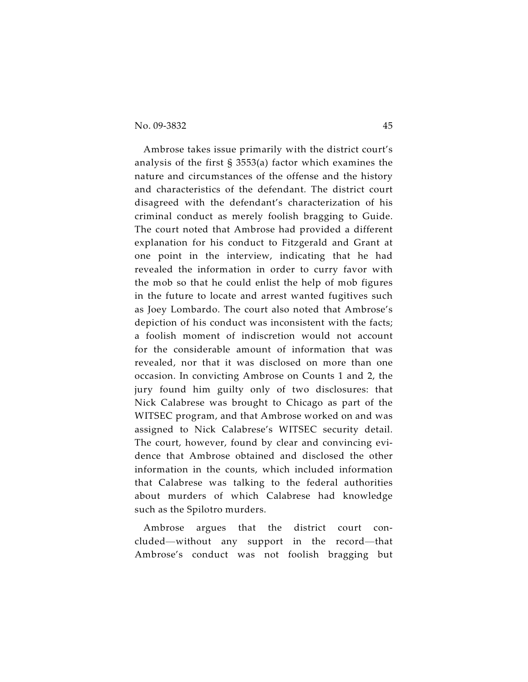Ambrose takes issue primarily with the district court's analysis of the first § 3553(a) factor which examines the nature and circumstances of the offense and the history and characteristics of the defendant. The district court disagreed with the defendant's characterization of his criminal conduct as merely foolish bragging to Guide. The court noted that Ambrose had provided a different explanation for his conduct to Fitzgerald and Grant at one point in the interview, indicating that he had revealed the information in order to curry favor with the mob so that he could enlist the help of mob figures in the future to locate and arrest wanted fugitives such as Joey Lombardo. The court also noted that Ambrose's depiction of his conduct was inconsistent with the facts; a foolish moment of indiscretion would not account for the considerable amount of information that was revealed, nor that it was disclosed on more than one occasion. In convicting Ambrose on Counts 1 and 2, the jury found him guilty only of two disclosures: that Nick Calabrese was brought to Chicago as part of the WITSEC program, and that Ambrose worked on and was assigned to Nick Calabrese's WITSEC security detail. The court, however, found by clear and convincing evidence that Ambrose obtained and disclosed the other information in the counts, which included information that Calabrese was talking to the federal authorities about murders of which Calabrese had knowledge such as the Spilotro murders.

Ambrose argues that the district court concluded—without any support in the record—that Ambrose's conduct was not foolish bragging but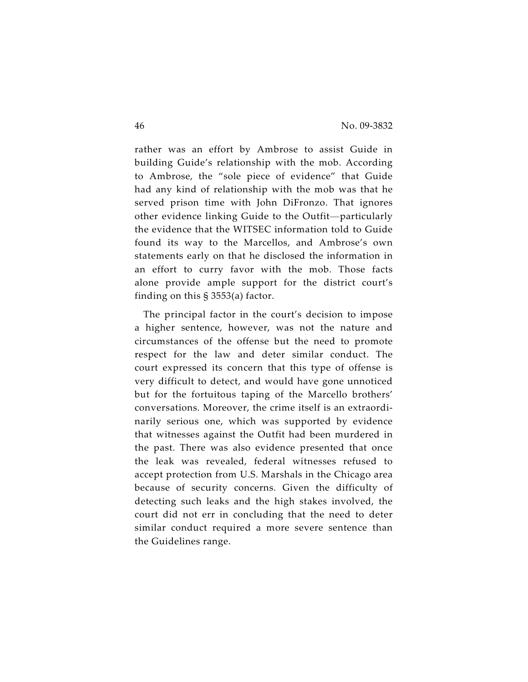rather was an effort by Ambrose to assist Guide in building Guide's relationship with the mob. According to Ambrose, the "sole piece of evidence" that Guide had any kind of relationship with the mob was that he served prison time with John DiFronzo. That ignores other evidence linking Guide to the Outfit—particularly the evidence that the WITSEC information told to Guide found its way to the Marcellos, and Ambrose's own statements early on that he disclosed the information in an effort to curry favor with the mob. Those facts alone provide ample support for the district court's finding on this § 3553(a) factor.

The principal factor in the court's decision to impose a higher sentence, however, was not the nature and circumstances of the offense but the need to promote respect for the law and deter similar conduct. The court expressed its concern that this type of offense is very difficult to detect, and would have gone unnoticed but for the fortuitous taping of the Marcello brothers' conversations. Moreover, the crime itself is an extraordinarily serious one, which was supported by evidence that witnesses against the Outfit had been murdered in the past. There was also evidence presented that once the leak was revealed, federal witnesses refused to accept protection from U.S. Marshals in the Chicago area because of security concerns. Given the difficulty of detecting such leaks and the high stakes involved, the court did not err in concluding that the need to deter similar conduct required a more severe sentence than the Guidelines range.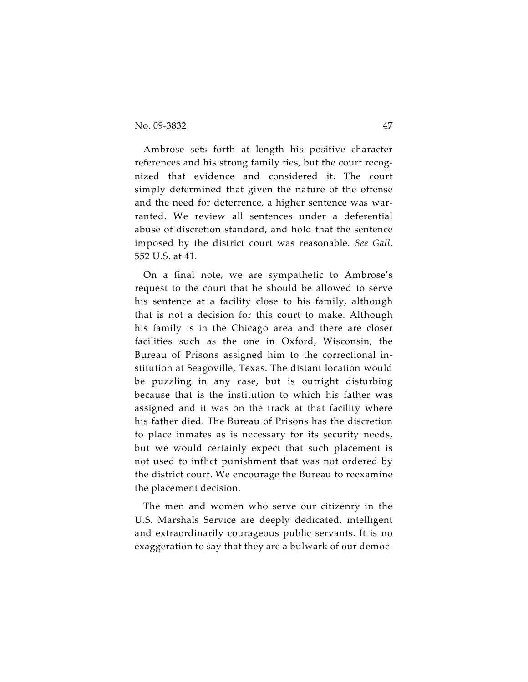Ambrose sets forth at length his positive character references and his strong family ties, but the court recognized that evidence and considered it. The court simply determined that given the nature of the offense and the need for deterrence, a higher sentence was warranted. We review all sentences under a deferential abuse of discretion standard, and hold that the sentence imposed by the district court was reasonable. *See Gall*, 552 U.S. at 41.

On a final note, we are sympathetic to Ambrose's request to the court that he should be allowed to serve his sentence at a facility close to his family, although that is not a decision for this court to make. Although his family is in the Chicago area and there are closer facilities such as the one in Oxford, Wisconsin, the Bureau of Prisons assigned him to the correctional institution at Seagoville, Texas. The distant location would be puzzling in any case, but is outright disturbing because that is the institution to which his father was assigned and it was on the track at that facility where his father died. The Bureau of Prisons has the discretion to place inmates as is necessary for its security needs, but we would certainly expect that such placement is not used to inflict punishment that was not ordered by the district court. We encourage the Bureau to reexamine the placement decision.

The men and women who serve our citizenry in the U.S. Marshals Service are deeply dedicated, intelligent and extraordinarily courageous public servants. It is no exaggeration to say that they are a bulwark of our democ